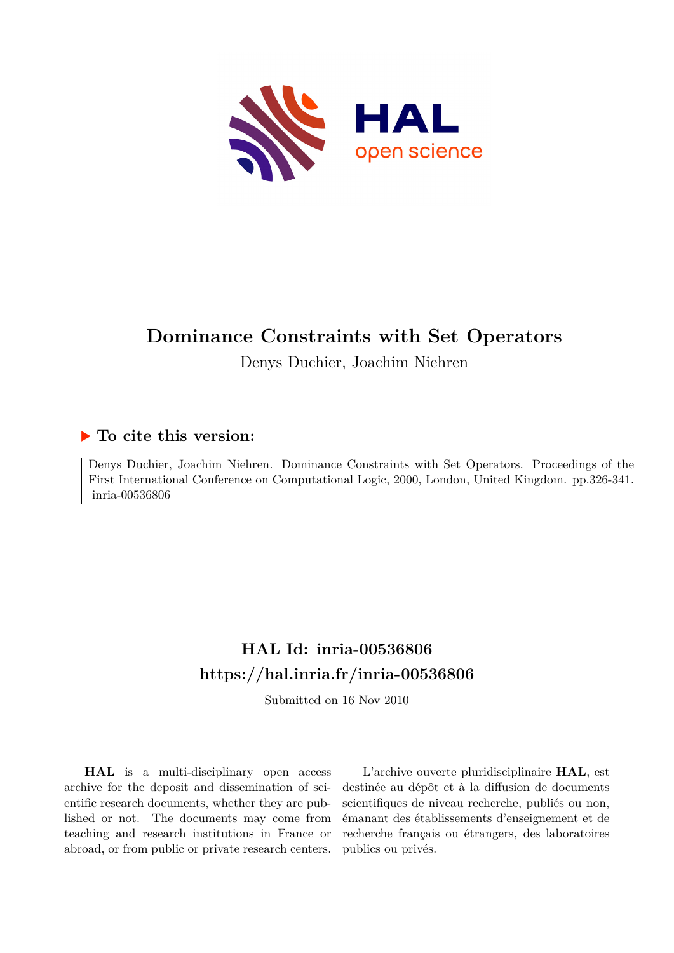

# **Dominance Constraints with Set Operators**

Denys Duchier, Joachim Niehren

# **To cite this version:**

Denys Duchier, Joachim Niehren. Dominance Constraints with Set Operators. Proceedings of the First International Conference on Computational Logic, 2000, London, United Kingdom. pp.326-341. inria-00536806

# **HAL Id: inria-00536806 <https://hal.inria.fr/inria-00536806>**

Submitted on 16 Nov 2010

**HAL** is a multi-disciplinary open access archive for the deposit and dissemination of scientific research documents, whether they are published or not. The documents may come from teaching and research institutions in France or abroad, or from public or private research centers.

L'archive ouverte pluridisciplinaire **HAL**, est destinée au dépôt et à la diffusion de documents scientifiques de niveau recherche, publiés ou non, émanant des établissements d'enseignement et de recherche français ou étrangers, des laboratoires publics ou privés.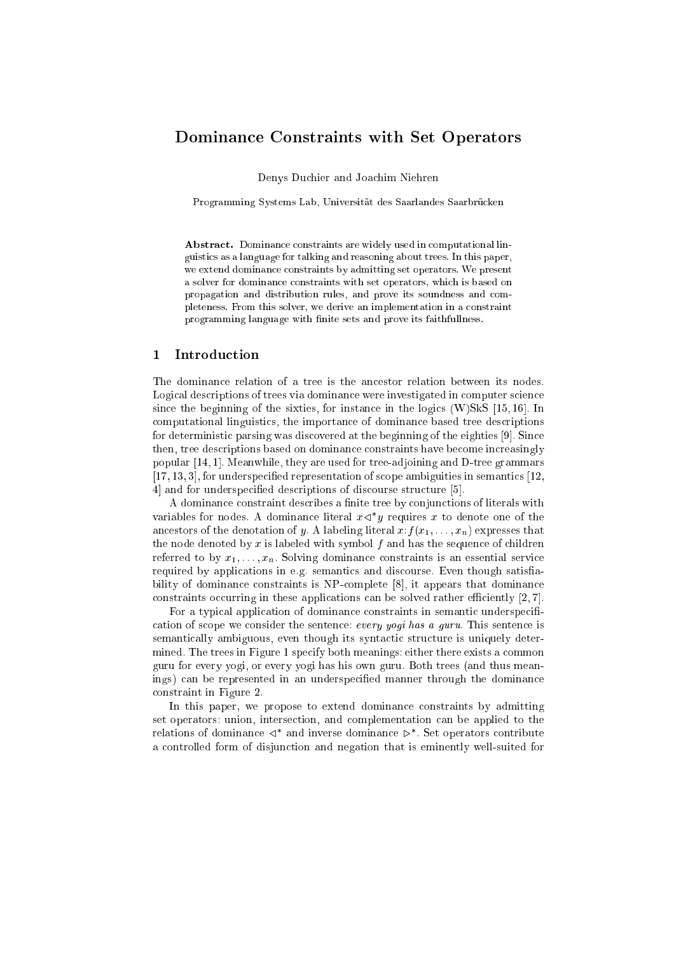# Dominan
e Constraints with Set Operators

Denys Du
hier and Joa
him Niehren

Programming Systems Lab, Universität des Saarlandes Saarbrücken

Abstract. Dominance constraints are widely used in computational linguisti
s as a language for talking and reasoning about trees. In this paper, we extend dominance constraints by admitting set operators. We present a solver for dominan
e onstraints with set operators, whi
h is based on propagation and distribution rules, and prove its soundness and ompleteness. From this solver, we derive an implementation in a onstraint programming language with finite sets and prove its faithfullness.

#### $\mathbf{1}$ **Introduction**

The dominance relation of a tree is the ancestor relation between its nodes. Logical descriptions of trees via dominance were investigated in computer science since the beginning of the sixties, for instance in the logics  $(W)$ SkS [15,16]. In omputational linguisti
s, the importan
e of dominan
e based tree des
riptions for deterministic parsing was discovered at the beginning of the eighties  $[9]$ . Since then, tree descriptions based on dominance constraints have become increasingly popular  $[14, 1]$ . Meanwhile, they are used for tree-adjoining and D-tree grammars  $[17, 13, 3]$ , for underspecified representation of scope ambiguities in semantics  $[12, 13, 3]$ 4 and for underspecified descriptions of discourse structure [5].

A dominance constraint describes a finite tree by conjunctions of literals with variables for nodes. A dominance interal  $x \triangleleft y$  requires  $x$  to denote one of the ancestors of the denotation of y. A labeling literal  $x: f(x_1, \ldots, x_n)$  expresses that the node denoted by  $x$  is labeled with symbol  $f$  and has the sequence of children referred to by  $x_1, \ldots, x_n$ . Solving dominance constraints is an essential service required by applications in e.g. semantics and discourse. Even though satisfiability of dominance constraints is NP-complete  $[8]$ , it appears that dominance constraints occurring in these applications can be solved rather efficiently  $[2, 7]$ .

For a typical application of dominance constraints in semantic underspecification of scope we consider the sentence: every yogi has a guru. This sentence is semantically ambiguous, even though its syntactic structure is uniquely determined. The trees in Figure 1 specify both meanings: either there exists a common guru for every yogi, or every yogi has his own guru. Both trees (and thus meanings) can be represented in an underspecified manner through the dominance onstraint in Figure 2.

In this paper, we propose to extend dominance constraints by admitting set operators: union, intersection, and complementation can be applied to the relations of dominance  $\leq$  and inverse dominance  $\triangleright$  . Set operators contribute a controlled form of disjunction and negation that is eminently well-suited for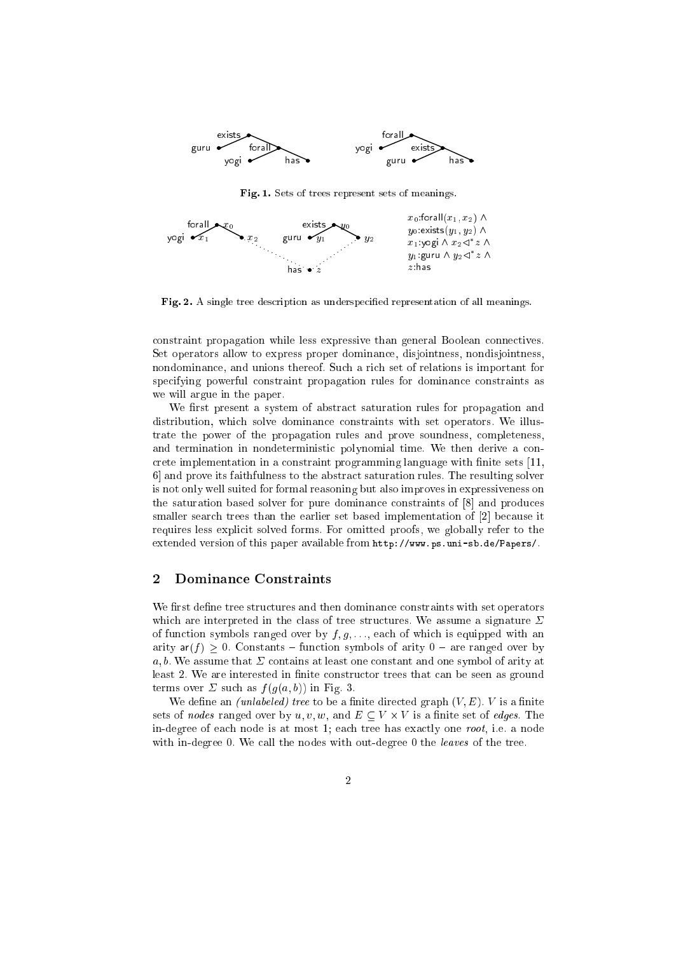

Fig. 1. Sets of trees represent sets of meanings.



Fig. 2. A single tree description as underspecified representation of all meanings.

constraint propagation while less expressive than general Boolean connectives. Set operators allow to express proper dominan
e, disjointness, nondisjointness, nondominan
e, and unions thereof. Su
h a ri
h set of relations is important for specifying powerful constraint propagation rules for dominance constraints as we will argue in the paper.

We first present a system of abstract saturation rules for propagation and distribution, whi
h solve dominan
e onstraints with set operators. We illustrate the power of the propagation rules and prove soundness, ompleteness, and termination in nondeterministic polynomial time. We then derive a concrete implementation in a constraint programming language with finite sets [11, 6 and prove its faithfulness to the abstract saturation rules. The resulting solver is not only well suited for formal reasoning but also improves in expressiveness on the saturation based solver for pure dominance constraints of [8] and produces smaller search trees than the earlier set based implementation of [2] because it requires less explicit solved forms. For omitted proofs, we globally refer to the extended version of this paper available from http://www.ps.uni-sb.de/Papers/.

### Dominance Constraints  $\overline{2}$

We first define tree structures and then dominance constraints with set operators which are interpreted in the class of tree structures. We assume a signature  $\Sigma$ of function symbols ranged over by  $f, g, \ldots$ , each of which is equipped with an arity  $ar(f) \geq 0$ . Constants – function symbols of arity  $0$  – are ranged over by a, b. We assume that  $\Sigma$  contains at least one constant and one symbol of arity at least 2. We are interested in finite constructor trees that can be seen as ground terms over  $\Sigma$  such as  $f(g(a, b))$  in Fig. 3.

We define an *(unlabeled)* tree to be a finite directed graph  $(V, E)$ . V is a finite sets of nodes famyles avec all alternatives in the extra set of edges. The set of  $\mathbb{R}^n$ in-degree of each node is at most 1; each tree has exactly one root, i.e. a node with in-degree 0. We call the nodes with out-degree 0 the *leaves* of the tree.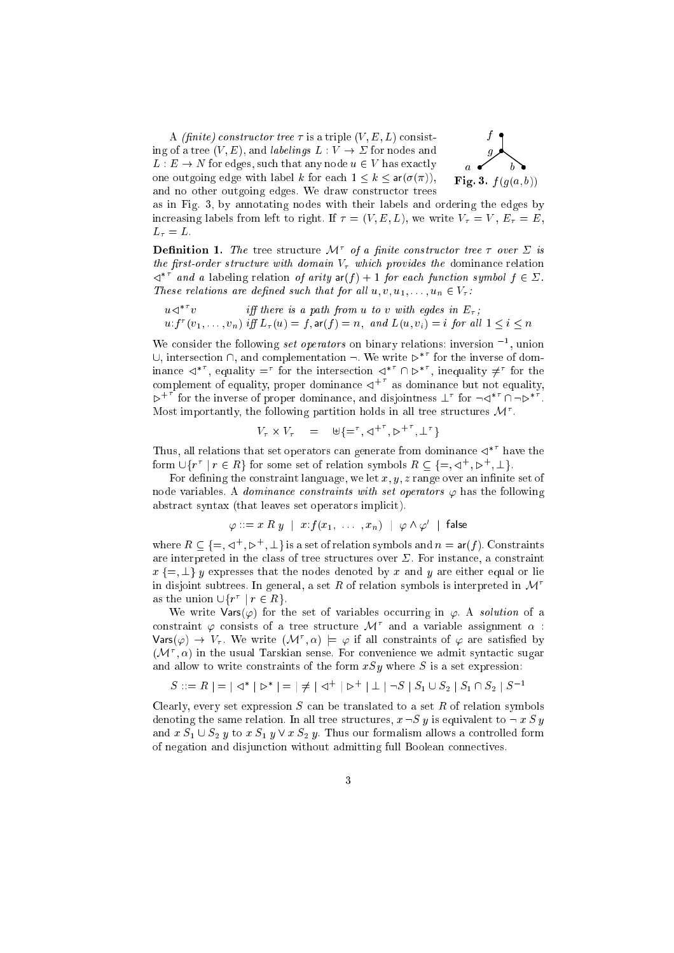A *(finite)* constructor tree  $\tau$  is a triple  $(V, E, L)$  consisting of a tree  $(V, E)$ , and *labelings*  $L: V \to \Sigma$  for nodes and L : <sup>E</sup> ! <sup>N</sup> for edges, su
h that any node <sup>u</sup> <sup>2</sup> <sup>V</sup> has exa
tly one outgoing edge with label k for each  $1 \leq k \leq \text{ar}(\sigma(\pi))$ , and no other outgoing edges. We draw constructor trees



as in Fig. 3, by annotating nodes with their labels and ordering the edges by in
reasing labels from left to right. If = (V ; E ; L), we write V <sup>=</sup> <sup>V</sup> , E <sup>=</sup> E,  $\mathcal{L} = \mathcal{L}$ 

**Definition 1.** The tree structure *IVC* of a finite constructor tree  $\tau$  over  $\geq$  is the just that the domain with domain  $\eta$  which  $\mu$  is the domain dominant committed  $\lhd$  and a labeling relation of arity  $\mathsf{art}(t) + 1$  for each function symbol  $t \in \mathcal{L}$ . These relations are defined such that for all  $u, v, u_1, \ldots, u_n \in V_\tau$ :

$$
u \preceq^{*^T} v
$$
 iff there is a path from u to v with edges in  $E_{\tau}$ ;  
 
$$
u: f^{\tau}(v_1, \ldots, v_n) \text{ iff } L_{\tau}(u) = f, \text{ar}(f) = n, \text{ and } L(u, v_i) = i \text{ for all } 1 \le i \le n
$$

We consider the following set operators on binary relations: inversion 1, union  $\cup,$  intersection  $\cap$ , and complementation  $\neg$ . We write  $\triangleright$  for the inverse of dominance  $\lhd$  , equality  $=$  for the intersection  $\lhd$  (i)  $\lhd$  , inequality  $\neq$  for the complement of equality, proper dominance  $\mathcal{A}^+$  as dominance but not equality,  $\triangleright$ <sup>+</sup> for the inverse of proper dominance, and disjointness  $\bot$  for  $\neg \vartriangle$ <sup>\*</sup> ()  $\neg \triangleright$ <sup>\*</sup>.  $_{\rm{Most}}$  importantly, the following partition holds in all tree structures  $\cal{M}$  .

$$
V_{\tau} \times V_{\tau} = \forall \{\equiv^{\tau}, \triangle^{+^{\tau}}, \triangle^{+^{\tau}}, \bot^{\tau}\}
$$

I hus, all relations that set operators can generate from dominance  $\triangleleft^+$  have the form  $\cup$ {r | r  $\in$  R  $\}$  for some set of relation symbols  $R \subseteq \{=\,$ ,  $\triangle \to \triangle \}$ ,  $\perp$  }.

For defining the constraint language, we let  $x, y, z$  range over an infinite set of node variables. A *dominance constraints with set operators*  $\varphi$  has the following abstract syntax (that leaves set operators implicit).

$$
\varphi ::= x \mathrel{R} y \ \mid \ x{:}f(x_1, \ \ldots \ , x_n) \ \mid \ \varphi \wedge \varphi' \ \mid \ \mathsf{false}
$$

where  $R \subseteq \{=\, \prec \, \prec \, , \triangleright \, \prec \bot \}$  is a set of relation symbols and  $n = \mathsf{ar}(f)$ . Constraints are interpreted in the class of tree structures over  $\Sigma$ . For instance, a constraint x f=; ?g <sup>y</sup> expresses that the nodes denoted by <sup>x</sup> and <sup>y</sup> are either equal or lie in disjoint subtrees. In general, a set R of relation symbols is interpreted in  $\mathcal{M}^{\tau}$ as the union  $\cup \{r^r \mid r \in R\}$ .

We write  $\text{Vars}(\varphi)$  for the set of variables occurring in  $\varphi$ . A solution of a constraint  $\varphi$  consists of a tree structure  $\mathcal{M}^+$  and a variable assignment  $\alpha$  :  $\mathsf{Vars}(\varphi) \to V_\tau$ . We write  $(\mathcal{M}^\tau, \alpha) \models \varphi$  if all constraints of  $\varphi$  are satisfied by  $(\mathcal{M}^*, \alpha)$  in the usual Tarskian sense. For convenience we admit syntactic sugar and allow to write constraints of the form  $xSy$  where S is a set expression:

$$
S ::= R \mid \; = \; \mid \vartriangleleft^* \mid \; \vartriangleright^* \mid \; = \; \mid \; \neq \; \mid \vartriangleleft^+ \mid \; \vartriangleright^+ \mid \; \bot \mid \neg S \mid S_1 \cup S_2 \mid S_1 \cap S_2 \mid S^{-1}
$$

Clearly, every set expression  $S$  can be translated to a set  $R$  of relation symbols denoting the same relation. In all tree structures,  $x \neg S y$  is equivalent to  $\neg x S y$ and  $x S_1 \cup S_2$  y to  $x S_1$  y  $\vee x S_2$  y. Thus our formalism allows a controlled form of negation and disjunction without admitting full Boolean connectives.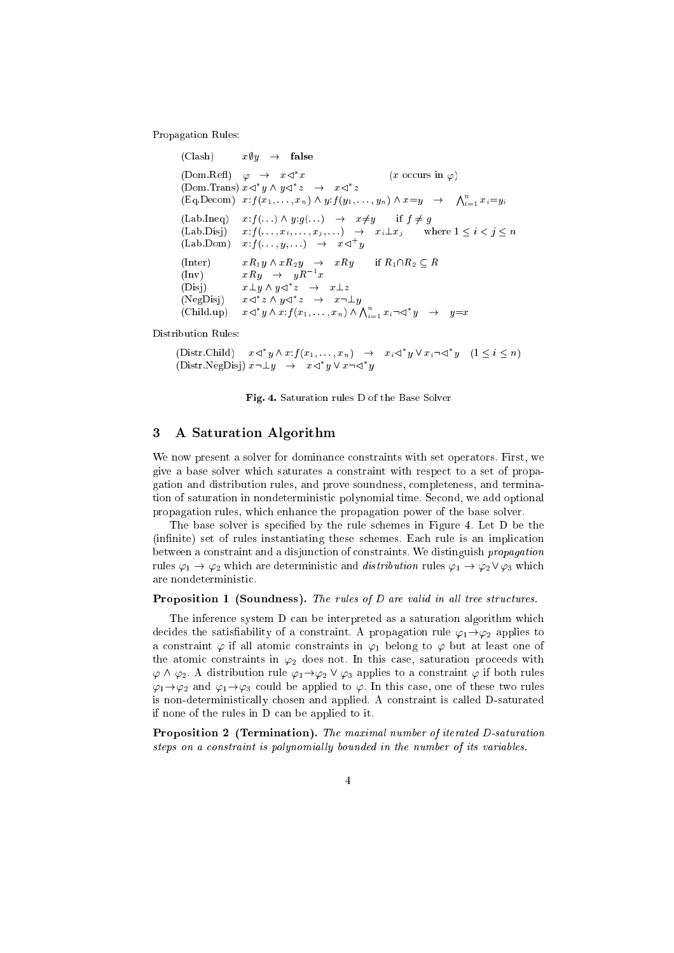Propagation Rules:

```
(Clash) x\psi y \rightarrow false
(Dom.Refl) \varphi \rightarrow x \triangleleft x(x \text{ occurs in } \varphi)(Dom. Irans) x \leq y \land y \leq z \implies x \leq z(\text{Eq. Decom}) x: f(x_1, \ldots, x_n) \wedge y: f(y_1, \ldots, y_n) \wedge x=y \rightarrow \bigwedge_{i=1}^n x_i=y_i\begin{array}{lcl} \text{(Lab. Ineq)} & \quad x{:}f(\ldots)\,\wedge\,y{:}g(\ldots) & \rightarrow & x{\neq}y \qquad \text{if $f \neq g$} \end{array}(Lab.Disj) x:f (\ldots, x_i, \ldots, x_j, \ldots) \rightarrow x_i \perp x_j where 1 \leq i < j \leq n(Lab.Dom) x : f(\ldots, y, \ldots) \rightarrow x \triangleleft y(Inter) xR_1y \wedge xR_2y \rightarrow xRy if R_1\cap R_2 \subseteq R\text{Im}v\text{)} xRy \rightarrow yR^x(L) \Box x \bot y \land y \Leftrightarrow x \bot z(NegDisj)z \wedge y \lhd z \;\; \rightarrow \;\; x \lnot \bot y(Child.up)y \wedge x:f(x_1, \ldots, x_n) \wedge \bigwedge_{i=1}^n x_i \neg \lhd^* y \quad \rightarrow \quad y = x
```
Distribution Rules:

(Distr. Child)  $x \leq y \wedge x : f(x_1, \ldots, x_n) \rightarrow x_i \leq y \vee x_i \neg \leq y \quad (1 \leq i \leq n)$ (Distr.NegDisj)  $x \neg \bot y \rightarrow x \triangleleft y \vee x \neg \triangleleft y$ 

Fig. 4. Saturation rules D of the Base Solver

#### 3 A Saturation Algorithm

We now present a solver for dominance constraints with set operators. First, we give a base solver whi
h saturates a onstraint with respe
t to a set of propagation and distribution rules, and prove soundness, ompleteness, and termination of saturation in nondeterministi polynomial time. Se
ond, we add optional propagation rules, whi
h enhan
e the propagation power of the base solver.

The base solver is specified by the rule schemes in Figure 4. Let D be the (infinite) set of rules instantiating these schemes. Each rule is an implication between a constraint and a disjunction of constraints. We distinguish *propagation* rules  $\varphi_1 \to \varphi_2$  which are deterministic and *distribution* rules  $\varphi_1 \to \varphi_2 \vee \varphi_3$  which are nondeterministi
.

### Proposition <sup>1</sup> (Soundness). The rules of D are valid in al l tree stru
tures.

The inference system D can be interpreted as a saturation algorithm which decides the satisfiability of a constraint. A propagation rule  $\varphi_1 \rightarrow \varphi_2$  applies to a constraint  $\varphi$  if all atomic constraints in  $\varphi_1$  belong to  $\varphi$  but at least one of the atomic constraints in  $\varphi_2$  does not. In this case, saturation proceeds with  $\varphi \wedge \varphi_2$ . A distribution rule  $\varphi_1 \rightarrow \varphi_2 \vee \varphi_3$  applies to a constraint  $\varphi$  if both rules  $\varphi_1 \rightarrow \varphi_2$  and  $\varphi_1 \rightarrow \varphi_3$  could be applied to  $\varphi$ . In this case, one of these two rules is non-deterministi
ally hosen and applied. A onstraint is alled D-saturated if none of the rules in D an be applied to it.

Proposition <sup>2</sup> (Termination). The maximal number of iterated D-saturation steps on a constraint is polynomially bounded in the number of its variables.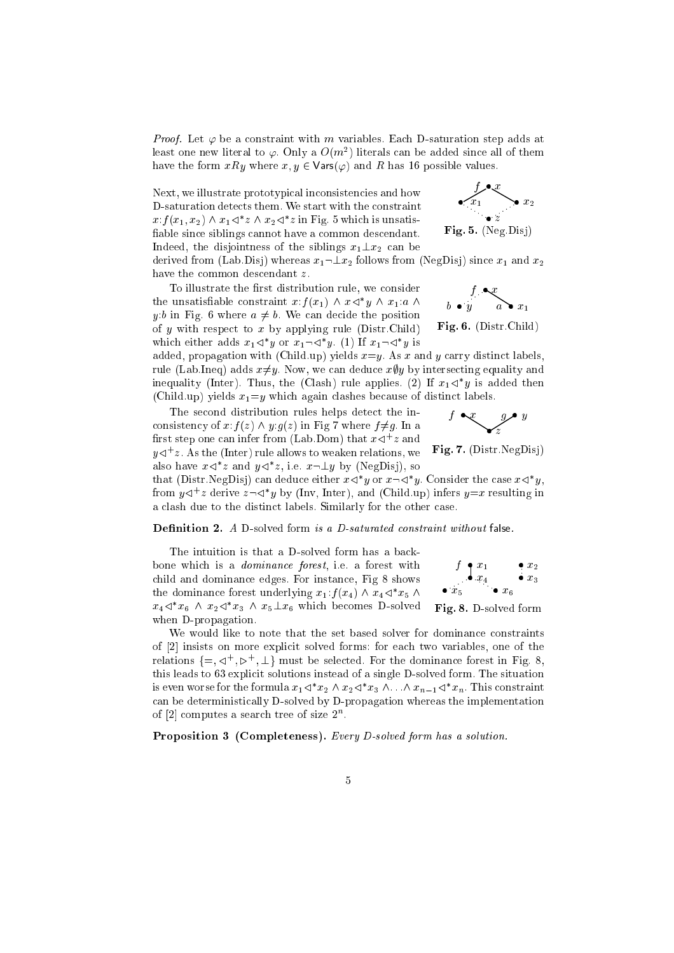*Proof.* Let  $\varphi$  be a constraint with m variables. Each D-saturation step adds at least one new literal to  $\varphi.$  Only a  $O(m^\ast)$  literals can be added since all of them have the form  $xRy$  where  $x, y \in \text{Vars}(\varphi)$  and R has 16 possible values.

Next, we illustrate prototypical inconsistencies and how D-saturation dete
ts them. We start with the onstraint  $x: f(x_1, x_2) \wedge x_1 \triangleleft z \wedge x_2 \triangleleft z$  in Fig. 5 which is unsatisfiable since siblings cannot have a common descendant. Indeed, the disjointness of the siblings  $x_1 \perp x_2$  can be



derived from (Lab.Disj) whereas  $x_1 \neg \bot x_2$  follows from (NegDisj) since  $x_1$  and  $x_2$ have the common descendant z.

To illustrate the first distribution rule, we consider the unsatisfiable constraint  $x: f(x_1) \wedge x \triangleleft y \wedge x_1: a \wedge y$ y:b in Fig. 6 where  $a \neq b$ . We can decide the position of  $y$  with respect to  $x$  by applying rule (Distr.Child) which either adds  $x_1 \leq y$  or  $x_1 \neg \leq y$ . (1) If  $x_1 \neg \leq y$  is



Fig. 6. (Distr.Child)

added, propagation with (Child.up) yields  $x=y$ . As x and y carry distinct labels, rule (Lab.Ineq) adds  $x \neq y$ . Now, we can deduce  $x \in y$  by intersecting equality and inequality (inter). Thus, the (Clash) rule applies. (2) If  $x_1 \triangleleft y$  is added then (Child.up) yields  $x_1 = y$  which again clashes because of distinct labels.

The se
ond distribution rules helps dete
t the in consistency of  $x:f(z) \wedge y:g(z)$  in Fig 7 where  $f \neq g$ . In a  $\max$  step one can their from (Lab. Dom) that  $x \triangleleft - z$  and  $y \triangleleft z$  . As the (Inter) rule allows to weaken relations, we also have  $x \leq z$  and  $y \leq z$ , i.e.  $x \neg \perp y$  by (NegDisj), so



 $\blacksquare$ 

that (Distr.NegDisj) can deduce either  $x \le y$  or  $x \neg \le y$ . Consider the case  $x \le y$ , from  $y \triangleleft z$  derive  $z \triangleleft y$  by (filty, filter), and (Child.up) infers  $y=x$  resulting in a lash due to the distin
t labels. Similarly for the other ase.

**Definition 2.** A D-solved form is a D-saturated constraint without false.

The intuition is that a D-solved form has a backbone whi
h is a dominan
e forest, i.e. a forest with child and dominance edges. For instance, Fig 8 shows the dominance forest underlying  $x_1$ :  $f(x_4)$   $\wedge$   $x_4$  $\triangleleft$   $x_5$   $\wedge$  $x_4 \leq x_6$  and  $x_2 \leq x_3$  and  $x_5 \perp x_6$  which becomes D-solved when D-propagation.



Fig. 8. D-solved form

We would like to note that the set based solver for dominance constraints of [2] insists on more explicit solved forms: for each two variables, one of the relations  $\{\equiv,\,\triangleleft\,$  ,  $\,\triangleright\,$  ,  $\perp\}$  must be selected. For the dominance forest in Fig. 8, this leads to 63 explicit solutions instead of a single D-solved form. The situation is even worse for the formula  $x_1 \triangleleft x_2 \land x_2 \triangleleft x_3 \land \ldots \land x_{n-1} \triangleleft x_n$ . I his constraint an be deterministi
ally D-solved by D-propagation whereas the implementation of  $|2|$  computes a search tree of size  $2^{\circ}$ .

Proposition <sup>3</sup> (Completeness). Every D-solved form has a solution.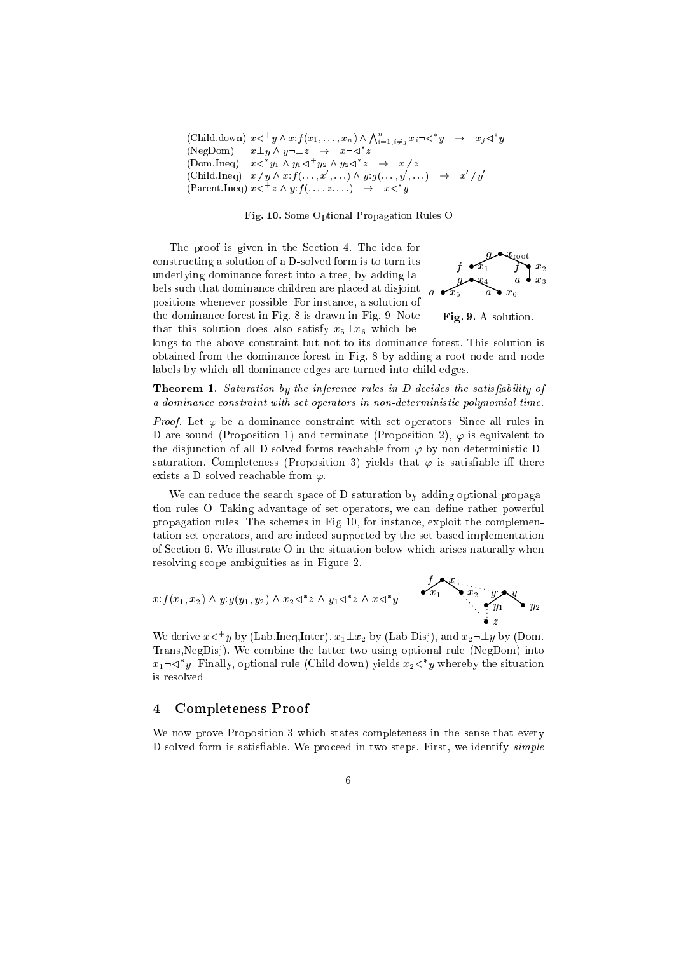$\text{(Child.down)} \ \ x \triangleleft^+ y \wedge x \colon f(x_1, \ldots, x_n) \wedge \bigwedge_{i=1, i \neq j}^n x_i \neg \triangleleft^* y \quad \rightarrow \quad x_j \triangleleft^* y$  $\text{(NegDom)} \quad x \perp y \wedge y \neg \perp z \quad \rightarrow \quad x \neg \triangleleft z$ (DOM.Ineq)  $x \leq y_1 \wedge y_1 \leq y_2 \wedge y_2 \leq z \implies x \neq z$ (Child.ineq)  $x \neq y \wedge x : f(\ldots, x, \ldots) \wedge y : g(\ldots, y, \ldots) \rightarrow x \neq y$ (Parent. Ineq)  $x \leq x \wedge y$ :  $y: y \in \{x, \ldots \} \rightarrow x \leq y$ 

## Fig. 10. Some Optional Propagation Rules O

The proof is given in the Section 4. The idea for onstru
ting a solution of a D-solved form is to turn its underlying dominan
e forest into a tree, by adding labels su
h that dominan
e hildren are pla
ed at disjoint positions whenever possible. For instan
e, a solution of the dominan
e forest in Fig. 8 is drawn in Fig. 9. Note that this solution does also satisfy  $x_5 \perp x_6$  which be-



Fig. 9. A solution.

longs to the above constraint but not to its dominance forest. This solution is obtained from the dominan
e forest in Fig. 8 by adding a root node and node labels by whi
h all dominan
e edges are turned into hild edges.

Theorem 1. Saturation by the inferen
e rules in D de
ides the satisability of a dominance constraint with set operators in non-deterministic polynomial time.

*Proof.* Let  $\varphi$  be a dominance constraint with set operators. Since all rules in D are sound (Proposition 1) and terminate (Proposition 2),  $\varphi$  is equivalent to the disjunction of all D-solved forms reachable from  $\varphi$  by non-deterministic Dsaturation. Completeness (Proposition 3) yields that  $\varphi$  is satisfiable iff there exists a D-solved reachable from  $\varphi$ .

We can reduce the search space of D-saturation by adding optional propagation rules O. Taking advantage of set operators, we can define rather powerful propagation rules. The s
hemes in Fig 10, for instan
e, exploit the omplementation set operators, and are indeed supported by the set based implementation of Se
tion 6. We illustrate O in the situation below whi
h arises naturally when resolving s
ope ambiguities as in Figure 2.

$$
x: f(x_1, x_2) \wedge y: g(y_1, y_2) \wedge x_2 \triangleleft^* z \wedge y_1 \triangleleft^* z \wedge x \triangleleft^* y
$$

We derive  $x \leq y$  by (Lab.Ineq,Inter),  $x_1 \perp x_2$  by (Lab.Disj), and  $x_2 \neg \perp y$  by (Dom. Trans,NegDisj). We ombine the latter two using optional rule (NegDom) into  $x_1$   $\lnot$  C). Finally, optional rule (Child.down) yields  $x_2$   $\lnot$  y whereby the situation is resolved.

# 4 Completeness Proof

We now prove Proposition 3 which states completeness in the sense that every D-solved form is satisfiable. We proceed in two steps. First, we identify *simple*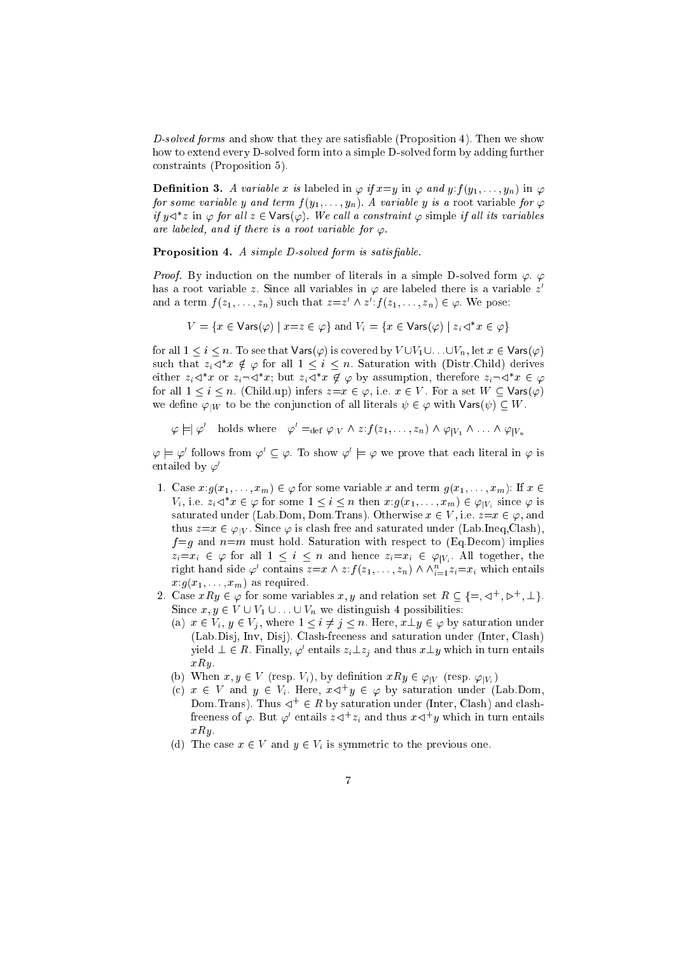$D$ -solved forms and show that they are satisfiable (Proposition 4). Then we show how to extend every D-solved form into a simple D-solved form by adding further onstraints (Proposition 5).

**Definition 3.** A variable x is labeled in  $\varphi$  if  $x=y$  in  $\varphi$  and  $y$ :  $f(y_1,\ldots,y_n)$  in  $\varphi$ for some variable y and term  $f(y_1, \ldots, y_n)$ . A variable y is a root variable for  $\varphi$ if  $y \triangleleft^* z$  in  $\varphi$  for all  $z \in \mathsf{Vars}(\varphi)$ . We call a constraint  $\varphi$  simple if all its variables are labeled, and if there is a root variable for  $\varphi$ .

Proposition 4. A simple D-solved form is satisable.

*Proof.* By induction on the number of literals in a simple D-solved form  $\varphi$ .  $\varphi$ has a root variable  $z.$  Since all variables in  $\varphi$  are labeled there is a variable  $z^\cdot$ and a term  $J(z_1, \ldots, z_n)$  such that  $z=z \wedge z$  :  $J(z_1, \ldots, z_n) \in \varphi$  . We pose:

$$
V = \{ x \in \text{Vars}(\varphi) \mid x = z \in \varphi \} \text{ and } V_i = \{ x \in \text{Vars}(\varphi) \mid z_i \vartriangleleft^* x \in \varphi \}
$$

for all  $1 \leq i \leq n$ . To see that  $\mathsf{Vars}(\varphi)$  is covered by  $V \cup V_1 \cup \ldots \cup V_n$ , let  $x \in \mathsf{Vars}(\varphi)$ suen that  $z_i \triangleleft x \notin \varphi$  for all  $1 \leq i \leq n$ . Saturation with (Distr.Child) derives either  $z_i \triangleleft x$  or  $z_i \triangleleft x$ ; but  $z_i \triangleleft x \notin \varphi$  by assumption, therefore  $z_i \triangleleft x \in \varphi$ for all  $1 \le i \le n$ . (Child.up) infers  $z=x \in \varphi$ , i.e.  $x \in V$ . For a set  $W \subset \text{Vars}(\varphi)$ we define  $\varphi_{|W}$  to be the conjunction of all literals  $\psi \in \varphi$  with  $\mathsf{Vars}(\psi) \subset W$ .

$$
\varphi \models \varphi'
$$
 holds where  $\varphi' =_{def} \varphi_{|V} \wedge z : f(z_1, \ldots, z_n) \wedge \varphi_{|V_1} \wedge \ldots \wedge \varphi_{|V_n}$ 

 $\varphi \models \varphi'$  follows from  $\varphi' \subseteq \varphi$ . To show  $\varphi' \models \varphi$  we prove that each literal in  $\varphi$  is entailed by  $\varphi'$ 

- 1. Case  $x:g(x_1,\ldots,x_m)\in\varphi$  for some variable x and term  $g(x_1,\ldots,x_m)$ : If  $x\in$  $V_i$ , i.e.  $z_i \triangleleft x \in \varphi$  for some  $1 \leq i \leq n$  then  $x : g(x_1, \ldots, x_m) \in \varphi_{|V_i|}$  since  $\varphi$  is saturated under (Lab.Dom, Dom.Trans). Otherwise  $x \in V$ , i.e.  $z=x \in \varphi$ , and thus  $z=x \in \varphi|_V$ . Since  $\varphi$  is clash free and saturated under (Lab.Ineq,Clash),  $f = g$  and  $n=m$  must hold. Saturation with respect to (Eq.Decom) implies  $z_i = x_i \in \varphi$  for all  $1 \leq i \leq n$  and hence  $z_i = x_i \in \varphi_{|V_i|}$ . All together, the right hand side  $\varphi'$  contains  $z=x \wedge z$ :  $f(z_1,\ldots,z_n) \wedge \wedge_{i=1}^s z_i = x_i$  which entails  $x:g(x_1,\ldots,x_m)$  as required.
- 2. Case  $x \kappa y \in \varphi$  for some variables  $x, y$  and relation set  $\kappa \subseteq \{ =, \lhd, \lhd, \lhd, \bot \}$ . Since  $x, y \in V \cup V_1 \cup ... \cup V_n$  we distinguish 4 possibilities:
	- (a)  $x \in V_i$ ,  $y \in V_j$ , where  $1 \leq i \neq j \leq n$ . Here,  $x \perp y \in \varphi$  by saturation under (Lab.Disj, Inv, Disj). Clash-freeness and saturation under (Inter, Clash) yield  $\bot \in R$ . Finally,  $\varphi^*$  entails  $z_i \bot z_j$  and thus  $x \bot y$  which in turn entails  $xRy$ .
	- (b) When  $x, y \in V$  (resp.  $V_i$ ), by definition  $xRy \in \varphi_{|V}$  (resp.  $\varphi_{|V_i}$ )
	- (c)  $x \in V$  and  $y \in V_i$ . Here,  $x \triangleleft y \in \varphi$  by saturation under (Lab.Dom, Dom. I rans). Thus  $\leq$   $\in$  R by saturation under (Inter, Clash) and clashfreeness of  $\varphi$ . But  $\varphi$  entails  $z \lhd \ z_i$  and thus  $x \lhd \ y$  which in turn entails  $xRu$ .
	- (d) The previous one. The previous one. The previous one. The previous one. The previous one. The previous one. The previous one. The previous one. The previous one. The previous one. The previous one. The previous one. T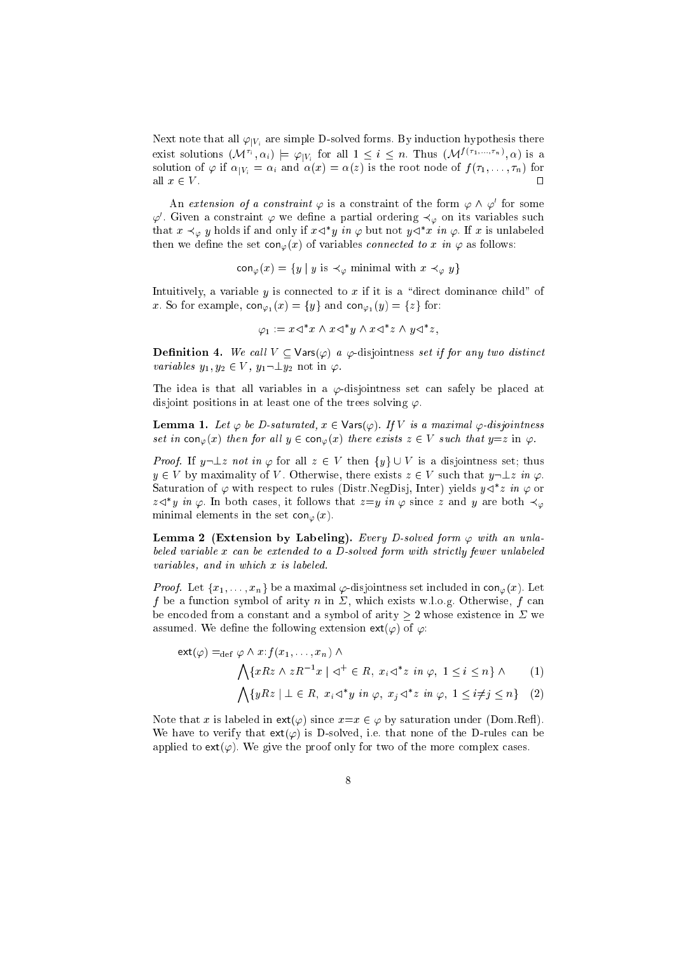Next note that all  $\varphi_{|V_i}$  are simple D-solved forms. By induction hypothesis there exist solutions  $(\mathcal{M}^i, \alpha_i) \models \varphi|_{V_i}$  for all  $1 \leq i \leq n$ . Thus  $(\mathcal{M}^{j(i+1),...,i+n}, \alpha)$  is a solution of  $\varphi$  if  $\alpha_{|V_i} = \alpha_i$  and  $\alpha(x) = \alpha(z)$  is the root node of  $f(\tau_1, \ldots, \tau_n)$  for all  $x \in V$ .

An *extension of a constraint*  $\varphi$  is a constraint of the form  $\varphi \wedge \varphi'$  for some  $\varphi$  . Given a constraint  $\varphi$  we define a partial ordering  $\prec_\varphi$  on its variables such that  $x\prec_\varphi y$  holds if and only if  $x\lhd^\sim y$  in  $\varphi$  but not  $y\lhd^\sim x$  in  $\varphi.$  If  $x$  is unlabeled then we define the set  $con_{\varphi}(x)$  of variables *connected to x in*  $\varphi$  as follows:

 $\operatorname{con}_{\varphi}(x) = \{y \mid y \text{ is } \prec_{\varphi} \text{ minimal with } x \prec_{\varphi} y\}$ 

Intuitively, a variable y is connected to x if it is a "direct dominance child" of x. So for example,  $\text{con}_{\varphi_1}(x) = \{y\}$  and  $\text{con}_{\varphi_1}(y) = \{z\}$  for:

$$
\varphi_1 := x \triangleleft^* x \wedge x \triangleleft^* y \wedge x \triangleleft^* z \wedge y \triangleleft^* z,
$$

**Definition 4.** We call  $V \subseteq \text{Vars}(\varphi)$  a  $\varphi$ -disjointness set if for any two distinct variables  $y_1, y_2 \in V$ ,  $y_1 \neg \perp y_2$  not in  $\varphi$ .

The idea is that all variables in a  $\varphi$ -disjointness set can safely be placed at disjoint positions in at least one of the trees solving  $\varphi$ .

**Lemma 1.** Let  $\varphi$  be D-saturated,  $x \in \mathsf{Vars}(\varphi)$ . If  $V$  is a maximal  $\varphi$ -disjointness set in  $\text{con}_{\varphi}(x)$  then for all  $y \in \text{con}_{\varphi}(x)$  there exists  $z \in V$  such that  $y=z$  in  $\varphi$ .

*Proof.* If  $y \neg \bot z$  not in  $\varphi$  for all  $z \in V$  then  $\{y\} \cup V$  is a disjointness set; thus  $y \in V$  by maximality of V. Otherwise, there exists  $z \in V$  such that  $y \neg \bot z$  in  $\varphi$ . Saturation of  $\varphi$  with respect to rules (Distr.NegDisj, Inter) yields  $y \lhd^* z$  in  $\varphi$  or z $\triangleleft$  y in  $\varphi$ . In both cases, it follows that  $z=y$  in  $\varphi$  since  $z$  and  $y$  are both  $\prec_\varphi$ minimal elements in the set  $con_{\varphi}(x)$ .

Lemma 2 (Extension by Labeling). Every D-solved form  $\varphi$  with an uniabeled variable x can be extended to a D-solved form with strictly fewer unlabeled variables, and in which x is labeled.

*Proof.* Let  $\{x_1, \ldots, x_n\}$  be a maximal  $\varphi$ -disjointness set included in  $\text{con}_{\varphi}(x)$ . Let  $f$  be a function of arithmetic matrix  $f$  is the arithmetic model with  $\mathcal{A}^{\prime}$  . Otherwise,  $f$  is then be encoded from a constant and a symbol of arity  $\geq 2$  whose existence in  $\Sigma$  we assumed. We define the following extension  $ext{ext}(\varphi)$  of  $\varphi$ :

$$
\operatorname{ext}(\varphi) =_{\operatorname{def}} \varphi \wedge x : f(x_1, \dots, x_n) \wedge
$$
  

$$
\bigwedge \{xRz \wedge zR^{-1}x \mid \vartriangleleft^+ \in R, \ x_i \vartriangleleft^* z \ in \ \varphi, \ 1 \le i \le n\} \wedge \tag{1}
$$
  

$$
\bigwedge \{yRz \mid \bot \in R, \ x_i \vartriangleleft^* y \ in \ \varphi, \ x_j \vartriangleleft^* z \ in \ \varphi, \ 1 \le i \ne j \le n\} \tag{2}
$$

Note that x is labeled in  $ext(\varphi)$  since  $x=x \in \varphi$  by saturation under (Dom.Reff). We have to verify that  $ext(\varphi)$  is D-solved, i.e. that none of the D-rules can be applied to  $ext(\varphi)$ . We give the proof only for two of the more complex cases.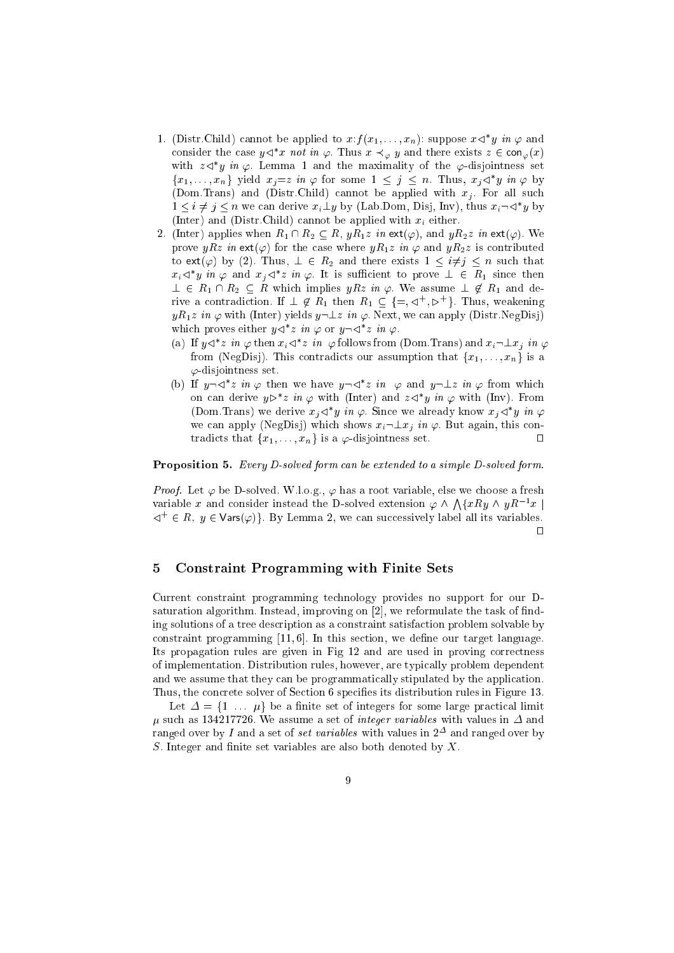- 1. (Distr.Child) cannot be applied to  $x: f(x_1, \ldots, x_n)$ : suppose  $x \triangleleft y$  in  $\varphi$  and consider the case  $y \triangleleft x$  not in  $\varphi$ . Thus  $x \prec_\varphi y$  and there exists  $z \in \mathsf{con}_\varphi(x)$ with  $z \triangleleft y$  in  $\varphi$ . Lemma 1 and the maximality of the  $\varphi$ -disjointness set  $\{x_1,\ldots,x_n\}$  yield  $x_j=z$  in  $\varphi$  for some  $1\leq j\leq n$ . Thus,  $x_j\lhd y$  in  $\varphi$  by  $\mathcal{N}$  and  $\mathcal{N}$  . The annotation of an all supplied with xj . For all supplied with  $\mathcal{N}$  $1 \leq i \neq j \leq n$  we can derive  $x_i \perp y$  by (Lab.Dom, Disj, Inv), thus  $x_i \neg \triangleleft y$  by (Inter) and (Distr.Child) annot be applied with xi either.
- 2. (Inter) applies when  $R_1 \cap R_2 \subseteq R$ ,  $yR_1z$  in ext( $\varphi$ ), and  $yR_2z$  in ext( $\varphi$ ). We prove  $yRz$  in ext( $\varphi$ ) for the case where  $yR_1z$  in  $\varphi$  and  $yR_2z$  is contributed to ext( $\varphi$ ) by (2). Thus,  $\bot \in R_2$  and there exists  $1 \leq i \neq j \leq n$  such that  $x_i \triangleleft y$  in  $\varphi$  and  $x_j \triangleleft z$  in  $\varphi$ . It is sufficient to prove  $\bot \in R_1$  since then  $\perp \in R_1 \cap R_2 \subseteq R$  which implies  $yRz$  in  $\varphi$ . We assume  $\perp \varphi R_1$  and derive a contradiction. If  $\perp \phi$   $R_1$  then  $R_1 \subseteq \{=\, , \triangleleft , \, , \triangleright \}$ . Thus, weakening  $yR_1z$  in  $\varphi$  with (Inter) yields  $y\neg \bot z$  in  $\varphi$ . Next, we can apply (Distr.NegDisj) which proves either  $y \leq z$  in  $\varphi$  or  $y \neg \leq z$  in  $\varphi$ .
	- (a) If  $y \triangleleft z$  in  $\varphi$  then  $x_i \triangleleft z$  in  $\varphi$  follows from (Dom. Frans) and  $x_i \triangleleft x_j$  in  $\varphi$ from (NegDisj). This contradicts our assumption that  $\{x_1, \ldots, x_n\}$  is a  $\varphi$ -disjointness set.
	- (b) If  $y \neg \neg \neg z$  in  $\varphi$  then we have  $y \neg \neg z$  in  $\varphi$  and  $y \neg \bot z$  in  $\varphi$  from which on can derive  $y \triangleright z$  in  $\varphi$  with (linter) and  $z \triangleleft y$  in  $\varphi$  with (linv). From (Dom. Irans) we derive  $x_i \triangleleft y$  in  $\varphi$ . Since we already know  $x_i \triangleleft y$  in  $\varphi$ we can apply (NegDisj) which shows  $x_i \neg \bot x_j$  in  $\varphi$ . But again, this contradicts that  $\{x_1, \ldots, x_n\}$  is a  $\varphi$ -disjointness set.  $\Box$

## Proposition 5. Every D-solved form an be extended to a simple D-solved form.

*Proof.* Let  $\varphi$  be D-solved. W.l.o.g.,  $\varphi$  has a root variable, else we choose a fresh variable x and consider instead the D-solved extension  $\varphi \wedge \bigwedge \{xRy \wedge yR^{-1}x \mid$  $\lhd^+ \in R$ ,  $y \in \text{Vars}(\varphi)$ . By Lemma 2, we can successively label all its variables.  $\Box$ 

# 5 Constraint Programming with Finite Sets

Current onstraint programming te
hnology provides no support for our Dsaturation algorithm. Instead, improving on  $[2]$ , we reformulate the task of finding solutions of a tree des
ription as a onstraint satisfa
tion problem solvable by constraint programming  $[11, 6]$ . In this section, we define our target language. Its propagation rules are given in Fig 12 and are used in proving correctness of implementation. Distribution rules, however, are typi
ally problem dependent and we assume that they can be programmatically stipulated by the application. Thus, the concrete solver of Section 6 specifies its distribution rules in Figure 13.

Let  $\Delta = \{1 \dots \mu\}$  be a finite set of integers for some large practical limit , we assume a set of integration and integration and integer values with values with an output of in  $\sim$ ranged over by I and a set of *set variables* with values in  $2^-$  and ranged over by S. Integer and finite set variables are also both denoted by  $X$ .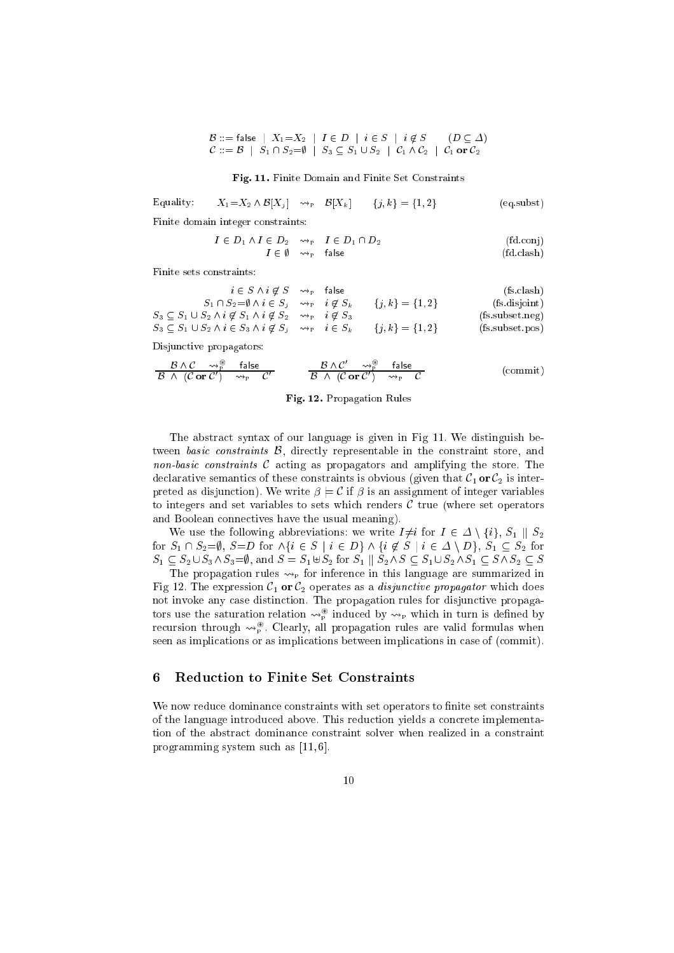$$
\mathcal{B} ::= \mathsf{false} \mid X_1 = X_2 \mid I \in D \mid i \in S \mid i \notin S \quad (D \subseteq \Delta)
$$
  

$$
\mathcal{C} ::= \mathcal{B} \mid S_1 \cap S_2 = \emptyset \mid S_3 \subseteq S_1 \cup S_2 \mid \mathcal{C}_1 \wedge \mathcal{C}_2 \mid \mathcal{C}_1 \text{ or } \mathcal{C}_2
$$

Fig. 11. Finite Domain and Finite Set Constraints

Equality:  $X_1=X_2 \wedge \mathcal{B}[X_i] \longrightarrow_{\text{P}} \mathcal{B}[X_k] \qquad \{j,k\}=\{1,2\}$  (eq.subst)

Finite domain integer onstraints:

$$
I \in D_1 \land I \in D_2 \quad \leadsto_{\mathbf{P}} \quad I \in D_1 \cap D_2
$$
\n
$$
I \in \emptyset \quad \leadsto_{\mathbf{P}} \quad \text{false} \tag{fd.cah}
$$

Finite sets constraints:

| $i \in S \wedge i \notin S \longrightarrow_{P}$ false                                                        |  |                     | (fs.classh)                      |
|--------------------------------------------------------------------------------------------------------------|--|---------------------|----------------------------------|
| $S_1 \cap S_2 = \emptyset \land i \in S_i \quad \leadsto_{\rm P} \quad i \notin S_k$                         |  | $\{j,k\} = \{1,2\}$ | (fs disjoint)                    |
| $S_3 \subseteq S_1 \cup S_2 \wedge i \notin S_1 \wedge i \notin S_2 \longrightarrow_{\text{P}} i \notin S_3$ |  |                     | (fs.subset.neg)                  |
| $S_3 \subseteq S_1 \cup S_2 \land i \in S_3 \land i \notin S_i \quad \leadsto_{\mathrm{P}} \quad i \in S_k$  |  | $\{j,k\} = \{1,2\}$ | $(f_s.\text{subset}.\text{pos})$ |

Disjun
tive propagators:

$$
\frac{\mathcal{B} \wedge \mathcal{C} \longrightarrow^{\circ}_{P} \quad \text{false}}{\mathcal{B} \wedge (\mathcal{C} \text{ or } \mathcal{C}') \longrightarrow_{P} \mathcal{C}'} \qquad \frac{\mathcal{B} \wedge \mathcal{C}' \longrightarrow^{\circ}_{P} \quad \text{false}}{\mathcal{B} \wedge (\mathcal{C} \text{ or } \mathcal{C}') \longrightarrow_{P} \mathcal{C}} \qquad \qquad \text{(commit)}
$$

Fig. 12. Propagation Rules

The abstra
t syntax of our language is given in Fig 11. We distinguish between *basic constraints*  $\beta$ , directly representable in the constraint store, and non-basic constraints  $\mathcal C$  acting as propagators and amplifying the store. The declarative semantics of these constraints is obvious (given that  $C_1$  or  $C_2$  is interpreted as disjunction). We write  $\beta \models \mathcal{C}$  if  $\beta$  is an assignment of integer variables to integers and set variables to sets which renders  $\mathcal C$  true (where set operators and Boolean onne
tives have the usual meaning).

We use the following abbreviations: we write  $I\neq i$  for  $I \in \Delta \setminus \{i\}, S_1 \parallel S_2$ for  $S_1 \cap S_2 = \emptyset$ ,  $S = D$  for  $\wedge \{i \in S \mid i \in D\} \wedge \{i \notin S \mid i \in \Delta \setminus D\}$ ,  $S_1 \subseteq S_2$  for  $S_1 \subseteq S_2 \cup S_3 \wedge S_3 = \emptyset$ , and  $S = S_1 \uplus S_2$  for  $S_1 \parallel S_2 \wedge S \subseteq S_1 \cup S_2 \wedge S_1 \subseteq S \wedge S_2 \subseteq S$ 

The propagation rules  $\leadsto_{\mathbb{P}}$  for inference in this language are summarized in Fig 12. The expression  $C_1$  or  $C_2$  operates as a *disjunctive propagator* which does not invoke any ase distin
tion. The propagation rules for disjun
tive propagators use the saturation relation  $\leadsto_{\widetilde{p}}$  induced by  $\leadsto_{\widetilde{p}}$  which in turn is defined by recursion through  $\leadsto_{\widetilde{p}}$ . Clearly, all propagation rules are valid formulas when seen as implications or as implications between implications in case of (commit).

### 6 Reduction to Finite Set Constraints

We now reduce dominance constraints with set operators to finite set constraints of the language introduced above. This reduction yields a concrete implementation of the abstra
t dominan
e onstraint solver when realized in a onstraint programming system such as  $[11, 6]$ .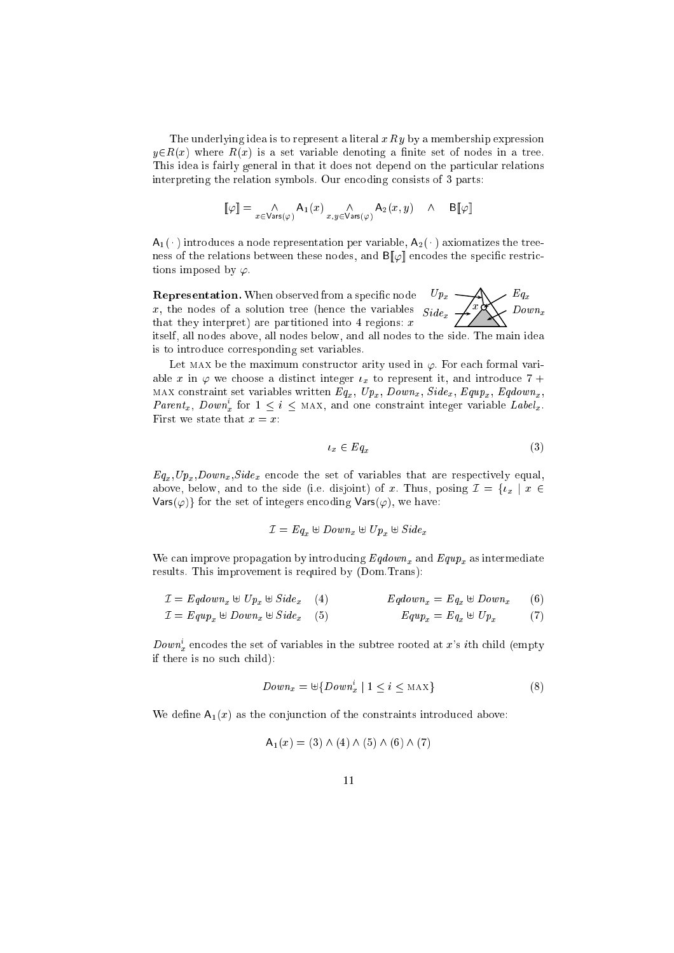The underlying idea is to represent a literal  $xR y$  by a membership expression  $y \in R(x)$  where  $R(x)$  is a set variable denoting a finite set of nodes in a tree. This idea is fairly general in that it does not depend on the particular relations interpreting the relation symbols. Our encoding consists of 3 parts:

$$
[\![\varphi]\!] = \mathop{\wedge}\limits_{x \in \mathsf{Vars}(\varphi)} \mathsf{A}_1(x) \mathop{\wedge}\limits_{x,y \in \mathsf{Vars}(\varphi)} \mathsf{A}_2(x,y) \quad \wedge \quad \mathsf{B}[\![\varphi]\!]
$$

 $A_1(\cdot)$  introduces a node representation per variable,  $A_2(\cdot)$  axiomatizes the treeness of the relations between these nodes, and  $B[\varphi]$  encodes the specific restrictions imposed by  $\varphi$ .

down and the contract of the contract of the contract of the contract of the contract of the contract of the contract of the contract of the contract of the contract of the contract of the contract of the contract of the c  $-xx$  $\sim$  side  $\sim$  $\sim$   $\mathbf{r}$   $x$ Representation. When observed from a spe
i node x, the nodes of a solution tree (hen
e the variables that they interpret) are partitioned into 4 regions:  $x$ 

itself, all nodes above, all nodes below, and all nodes to the side. The main idea is to introdu
e orresponding set variables.

Let MAX be the maximum constructor arity used in  $\varphi$ . For each formal variable x in  $\varphi$  we choose a distinct integer  $\iota_x$  to represent it, and introduce 7+ MAX constraint set variables written  $Eq_x$ ,  $Up_x$ ,  $Down_x$ ,  $Side_x$ ,  $Equp_x$ ,  $Eqdown_x$ , Parent<sub>x</sub>, Down<sub>x</sub> for  $1 \leq i \leq$  MAX, and one constraint integer variable Label<sub>x</sub>. First we state that  $x = x$ :

$$
t_x \in Eq_x \tag{3}
$$

 $Eq_x, Up_x, Down_x, Side_x$  encode the set of variables that are respectively equal, above, below, and the side side (i.e. disjoint) of x. Thus, positive  $\Gamma$   $\sim$  fx j  $\sim$  $Vars(\varphi)$  for the set of integers encoding  $Vars(\varphi)$ , we have:

$$
\mathcal{I} = Eq_x \uplus Down_x \uplus Up_x \uplus Side_x
$$

we can improve propagation by intermediate  $\alpha$  intermediate  $\alpha$ results. This improvement is required by (Dom.Trans):

 $\mathbf{I} = \mathbf{I} - \mathbf{I} + \mathbf{I} + \mathbf{I} + \mathbf{I} + \mathbf{I} + \mathbf{I} + \mathbf{I} + \mathbf{I} + \mathbf{I} + \mathbf{I} + \mathbf{I} + \mathbf{I} + \mathbf{I} + \mathbf{I} + \mathbf{I} + \mathbf{I} + \mathbf{I} + \mathbf{I} + \mathbf{I} + \mathbf{I} + \mathbf{I} + \mathbf{I} + \mathbf{I} + \mathbf{I} + \mathbf{I} + \mathbf{I} + \mathbf{I} + \mathbf{I} + \mathbf{I} + \mathbf$  $\mathbf{E} = \mathbf{E} \cdot \mathbf{E} \cdot \mathbf{E} \cdot \mathbf{E} \cdot \mathbf{E} \cdot \mathbf{E} \cdot \mathbf{E} \cdot \mathbf{E} \cdot \mathbf{E} \cdot \mathbf{E} \cdot \mathbf{E} \cdot \mathbf{E} \cdot \mathbf{E} \cdot \mathbf{E} \cdot \mathbf{E} \cdot \mathbf{E} \cdot \mathbf{E} \cdot \mathbf{E} \cdot \mathbf{E} \cdot \mathbf{E} \cdot \mathbf{E} \cdot \mathbf{E} \cdot \mathbf{E} \cdot \mathbf{E} \cdot \mathbf{E} \cdot \mathbf{E} \cdot \mathbf{E$ 

$$
\mathcal{I} = \mathit{Equp}_x \oplus \mathit{Down}_x \oplus \mathit{Side}_x \quad (5) \qquad \qquad \mathit{Equp}_x = \mathit{Eq}_x \oplus \mathit{Up}_x \qquad (7)
$$

 $Down_x^*$  encodes the set of variables in the subtree rooted at  $x$ 's  $i$ th child (empty if there is no such child):

$$
Down_x = \biguplus \{Down_x^i \mid 1 \le i \le \text{MAX}\}\tag{8}
$$

We define  $A_1(x)$  as the conjunction of the constraints introduced above:

$$
A_1(x) = (3) \wedge (4) \wedge (5) \wedge (6) \wedge (7)
$$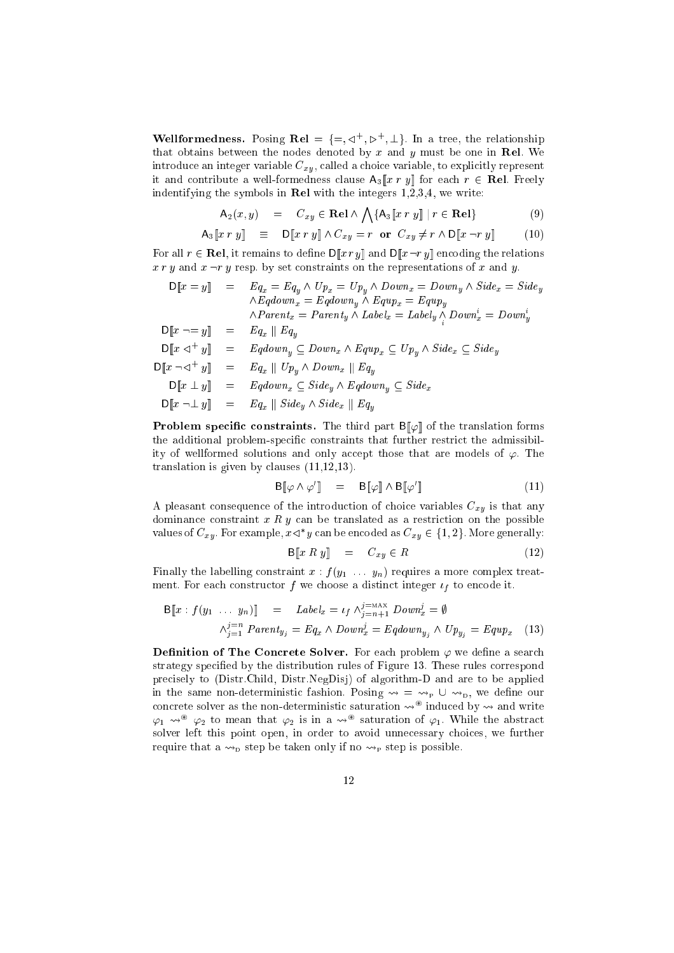**Wellformedness.** Posing  $\mathbf{Re} \mathbf{l} = \{ \equiv, \leq \mathbf{k} \}$ ,  $\mathbf{E} \mathbf{E} = \{ \equiv, \mathbf{E} \}$ . In a tree, the relationship that obtains between the nodes denoted by  $x$  and  $y$  must be one in Rel. We e and the control control of  $\mu$  , the case of the case of the case of the case  $\mu$  and the case of it and contribute a well-formedness clause  $A_3[x r y]$  for each  $r \in \mathbf{Rel}$ . Freely indentifying the symbols in Rel with the integers 1,2,3,4, we write:

$$
\mathsf{A}_2(x, y) = C_{xy} \in \mathbf{Rel} \land \bigwedge \{ \mathsf{A}_3[\![x \, r \, y]\!] \mid r \in \mathbf{Rel} \} \tag{9}
$$

$$
\mathsf{A}_3[\![x \, r \, y]\!] \equiv \mathsf{D}[\![x \, r \, y]\!] \land C_{xy} = r \text{ or } C_{xy} \neq r \land \mathsf{D}[\![x \, \neg r \, y]\!] \tag{10}
$$

For all  $r \in \mathbf{Rel}$ , it remains to define  $\mathsf{D}[\![x \, r \, y]\!]$  and  $\mathsf{D}[\![x \, \neg r \, y]\!]$  encoding the relations x <sup>r</sup> <sup>y</sup> and <sup>x</sup> :r <sup>y</sup> resp. by set onstraints on the representations of <sup>x</sup> and y.

$$
D[\![x = y]\!] = Eq_x = Eq_y \wedge Up_x = Up_y \wedge Down_x = Down_y \wedge Side_x = Side_y
$$
  
\n
$$
\wedge Eqdown_x = Eqdown_y \wedge Equ_x = Equ_v
$$
  
\n
$$
\wedge Parent_x = Parent_y \wedge Label_x = Label_y \wedge Down_x^i = Down_y^i
$$
  
\n
$$
D[\![x \neg = y]\!] = Eq_x \parallel Eq_y
$$
  
\n
$$
D[\![x \neg \neg^+ y]\!] = Eqdown_y \subseteq Down_x \wedge Equ_x \subseteq Up_y \wedge Side_x \subseteq Side_y
$$
  
\n
$$
D[\![x \neg \neg^+ y]\!] = Eq_x \parallel Up_y \wedge Down_x \parallel Eq_y
$$
  
\n
$$
D[\![x \bot y]\!] = Eqdown_x \subseteq Side_y \wedge Eqdown_y \subseteq Side_x
$$
  
\n
$$
D[\![x \neg \bot y]\!] = Eq_x \parallel Side_y \wedge Side_x \parallel Eq_y
$$

**Problem specific constraints.** The third part  $\mathsf{B}\llbracket\varphi\rrbracket$  of the translation forms the additional problem-specific constraints that further restrict the admissibility of wellformed solutions and only accept those that are models of  $\varphi$ . The translation is given by clauses  $(11,12,13)$ .

$$
\mathsf{B}[\![\varphi \wedge \varphi']\!] \quad = \quad \mathsf{B}[\![\varphi]\!] \wedge \mathsf{B}[\![\varphi']\!] \tag{11}
$$

e pleasant consequence is the introduction of the internet with  $\mathcal{O}_A$  is the introduction dominance constraint  $x R y$  can be translated as a restriction on the possible values of  $C_{xy}$ , for example,  $x \triangleleft y$  can be encoded as  $C_{xy} \in \{1,2\}$ . More generally:

$$
\mathbf{B}[\![x \, R \, y]\!] \quad = \quad C_{xy} \in R \tag{12}
$$

Finally the labelling constraint  $x : f(y_1 \ldots y_n)$  requires a more complex treatment. For ea
h onstru
tor <sup>f</sup> we hoose a distin
t integer f to en
ode it.

$$
B[x : f(y_1 \dots y_n)] = Label_x = \iota_f \wedge_{j=n+1}^{j=\text{MAX}} Down_x^j = \emptyset
$$
  

$$
\wedge_{j=1}^{j=n} Parent_{y_j} = Eq_x \wedge Down_x^j = Eqdown_{y_j} \wedge Up_{y_j} = Equp_x \quad (13)
$$

**Dennition of The Concrete Solver.** For each problem  $\varphi$  we define a search strategy specified by the distribution rules of Figure 13. These rules correspond pre
isely to (Distr.Child, Distr.NegDisj) of algorithm-D and are to be applied in the same non-deterministic fashion. Posing  $\rightsquigarrow = \rightsquigarrow_p \cup \rightsquigarrow_p$ , we define our concrete solver as the non-deterministic saturation  $\leadsto$   $^{\circ}$  induced by  $\leadsto$  and write  $\varphi_1 \rightsquigarrow^\mathbb{Z} \varphi_2$  to mean that  $\varphi_2$  is in a  $\rightsquigarrow^\mathbb{Z}$  saturation of  $\varphi_1.$  While the abstract solver left this point open, in order to avoid unne
essary hoi
es, we further require that a  $\rightsquigarrow_{\mathbb{D}}$  step be taken only if no  $\rightsquigarrow_{\mathbb{P}}$  step is possible.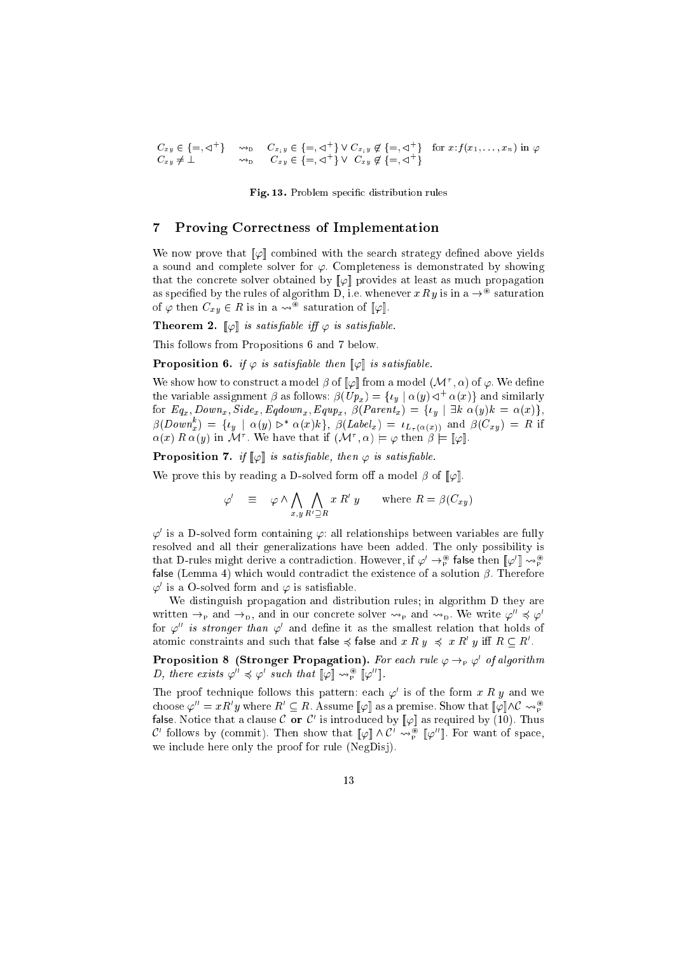$C_{xy} \in \{\equiv, \lhd \ \}$   $\leadsto$   $D$   $C_{x_iy} \in \{\equiv, \lhd' \}$  V  $C_{x_iy} \notin \{\equiv, \lhd' \}$  for  $x : f(x_1, \ldots, x_n)$  in  $\varphi$  $C_{xu} \neq \bot$   $\leadsto_{\text{D}}$   $C_{xu} \in \{=,\triangleleft\}$   $\}$   $V$   $C_{xu} \notin \{=,\triangleleft\}$   $\}$ 

Fig. 13. Problem specific distribution rules

# 7 Proving Corre
tness of Implementation

We now prove that  $\llbracket \varphi \rrbracket$  combined with the search strategy defined above yields a sound and complete solver for  $\varphi$ . Completeness is demonstrated by showing that the concrete solver obtained by  $\llbracket \varphi \rrbracket$  provides at least as much propagation as specified by the rules of algorithm D, i.e. whenever  $x \mathbin{\hat{\}} w$  is in a  $\rightarrow$  saturation of  $\varphi$  then  $C_{xy} \in R$  is in a  $\leadsto^\circ$  saturation of  $\llbracket \varphi \rrbracket.$ 

**Theorem 2.**  $\|\varphi\|$  is satisfiable iff  $\varphi$  is satisfiable.

This follows from Propositions 6 and 7 below.

**Proposition 6.** if  $\varphi$  is satisfiable then  $\|\varphi\|$  is satisfiable.

We show how to construct a model  $\beta$  of  $\|\varphi\|$  from a model  $(\mathcal{M}^*, \alpha)$  of  $\varphi$ . We define the variable assignment  $\rho$  as follows:  $\rho(\nu p_x) = \{v_y \mid \alpha(y) \triangleleft \alpha(x)\}\$  and similarly for  $Eq_x, Down_x, Side_x, Eqdown_x, Equp_x, \beta(Parent_x) = \{ \iota_y \mid \exists k \alpha(y)k = \alpha(x)\},$  $\beta(Down_x^*) = \{t_y \mid \alpha(y) \triangleright^* \alpha(x)k\}, \ \beta(Label_x) = t_{L_\tau(\alpha(x))}$  and  $\beta(C_{xy}) = K$  if  $\alpha(x) \mathrel{R} \alpha(y)$  in M'. We have that if  $(\mathcal{M}^{\prime}, \alpha) \models \varphi$  then  $\beta \models \varphi$ .

**Proposition** 7. if  $\|\varphi\|$  is satisfiable, then  $\varphi$  is satisfiable.

We prove this by reading a D-solved form off a model  $\beta$  of  $[\varphi]$ .

$$
\varphi' \equiv \varphi \wedge \bigwedge_{x,y \ R' \supseteq R} x \ R' \ y \qquad \text{where } R = \beta(C_{xy})
$$

 $\varphi$  is a D-solved form containing  $\varphi$ : all relationships between variables are fully resolved and all their generalizations have been added. The only possibility is that D-rules might derive a contradiction. However, if  $\varphi' \to_{\mathbb{P}}^{\mathbb{P}}$  false then  $[\varphi'] \leadsto_{\mathbb{P}}^{\mathbb{P}}$ false (Lemma 4) which would contradict the existence of a solution  $\beta$ . Therefore  $\varphi'$  is a U-solved form and  $\varphi$  is satisfiable.

We distinguish propagation and distribution rules; in algorithm D they are written  $\rightarrow_{\mathbb{P}}$  and  $\rightarrow_{\mathbb{D}}$ , and in our concrete solver  $\rightarrow_{\mathbb{P}}$  and  $\rightarrow_{\mathbb{D}}$ . We write  $\varphi'' \preccurlyeq \varphi'$ for  $\varphi^{\ldots}$  is stronger than  $\varphi^{\ldots}$  and define it as the smallest relation that holds of atomic constraints and such that false  $\preccurlyeq$  false and  $x \mathrel R y \preccurlyeq x \mathrel R y$  iff  $\mathrel R \subset \mathrel R'$ .

Proposition 8 (Stronger Propagation). For each rule  $\varphi \rightarrow_{\rm P} \varphi'$  of algorithm  $D$ , there exists  $\varphi^{\cdots} \preccurlyeq \varphi^{\cdots}$  such that  $\llbracket \varphi \rrbracket \rightsquigarrow^{\otimes}_{P} \llbracket \varphi^{\cdots} \rrbracket$ .

The proof technique follows this pattern: each  $\varphi$  is of the form  $x$  R  $y$  and we choose  $\varphi^{\dots} = xK'y$  where  $K' \subseteq K$ . Assume  $\|\varphi\|$  as a premise. Show that  $\|\varphi\| \wedge C \leadsto_{\mathbb{P}}^{\infty}$ false. Notice that a clause  $\mathcal C$  or  $\mathcal C'$  is introduced by  $\llbracket \varphi \rrbracket$  as required by  $(10)$ . Thus C follows by (commit). Then show that  $\llbracket \varphi \rrbracket \wedge C \leadsto_{\mathbb{P}}^{\infty} \llbracket \varphi^{\cdot} \rrbracket$ . For want of space, we in
lude here only the proof for rule (NegDisj).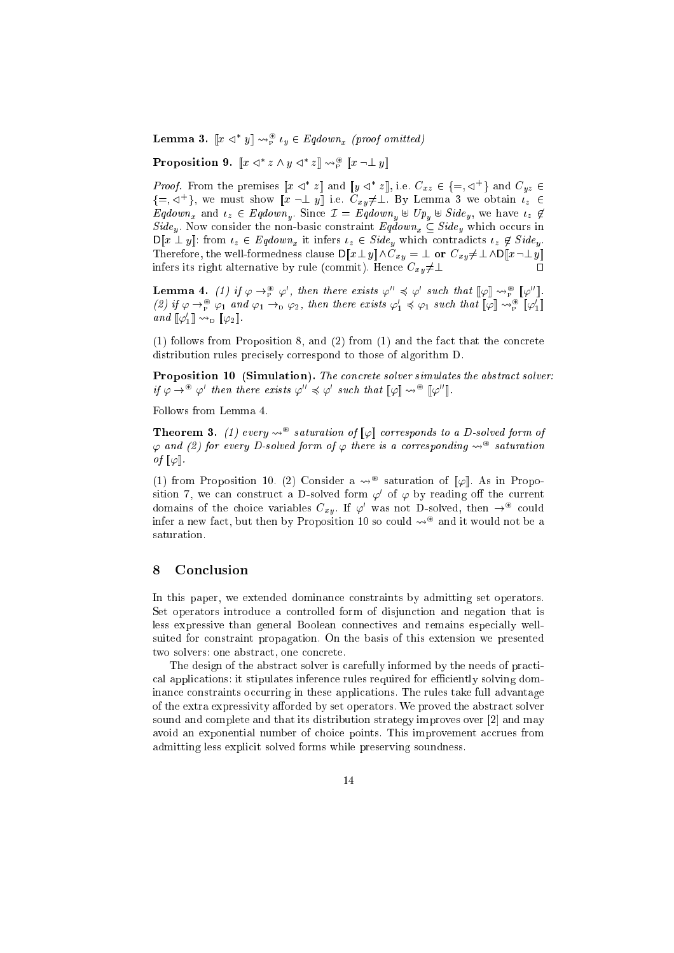**Lemma 3.**  $\|x \triangleleft y\| \leadsto_{\widetilde{P}}^{\widetilde{P}} l_y \in Eq$ *aown<sub>x</sub>* (proof omitted)

Proposition 9.  $x \leq x \wedge y \leq z \leq y$ 

*Proof.* From the premises  $||x \triangleleft z||$  and  $||y \triangleleft z||$ , i.e.  $C_{xz} \in \{\pm, \triangleleft\}$  and  $C_{yz} \in$ f=; <sup>C</sup><sup>+</sup> g, we must show [[x :? y℄℄ i.e. Cxy6=?. By Lemma 3 we obtain z <sup>2</sup>  $\Gamma =$  1  $\ldots$  . The I since  $\Gamma$   $=$   $\Gamma$   $=$   $\ldots$   $\Gamma$   $=$   $\ldots$   $\Gamma$   $=$   $\ldots$   $\Gamma$   $=$   $\ldots$   $\ldots$   $\ldots$ sidely . Non-basic the non-basic theorem is non-basic which  $\bm{x}$  in  $\bm{x}$  ,  $\bm{y}$  and  $\bm{y}$  which is non-basic  $\mathsf{D}[[x \perp y]]$ : from  $\iota_z \in Eqdown_x$  it infers  $\iota_z \in Side_y$  which contradicts  $\iota_z \notin Side_y$ . Therefore, the well-formedness clause  $\mathsf{D}[\![x \perp y]\!] \wedge C_{xy} = \perp$  or  $C_{xy} \neq \perp \wedge \mathsf{D}[\![x \neg \perp y]\!]$ infers its right alternative by rule (commit). Hence  $C_{xy}\neq\perp$ 

**Lemma 4.** (1) if  $\varphi \rightarrow_{\mathbb{F}} \varphi$ , then there exists  $\varphi \preccurlyeq \varphi$  such that  $\llbracket \varphi \rrbracket \rightsquigarrow_{\mathbb{F}} \llbracket \varphi \rrbracket$ .  $(2)$  if  $\varphi \to_{p}^{\infty} \varphi_1$  and  $\varphi_1 \to_{p} \varphi_2$ , then there exists  $\varphi_1 \preccurlyeq \varphi_1$  such that  $\llbracket \varphi \rrbracket \leadsto_{p}^{\infty} \llbracket \varphi_1 \rrbracket$  $and \[\[\varphi_1\]\leadsto_{\text{D}}\[\varphi_2\]$ .

 $(1)$  follows from Proposition 8, and  $(2)$  from  $(1)$  and the fact that the concrete distribution rules precisely correspond to those of algorithm D.

Proposition <sup>10</sup> (Simulation). The on
rete solver simulates the abstra
t solver:  $i,j \not\in \rightarrow^{\infty} \varphi$  then there exists  $\varphi \colon \preccurlyeq \varphi$  such that  $\llbracket \varphi \rrbracket \rightsquigarrow^{\infty} \llbracket \varphi \rrbracket$ .

Follows from Lemma 4.

**Theorem 3.** (1) every  $\leadsto$  saturation of  $\|\varphi\|$  corresponds to a D-solved form of  $\varphi$  and (2) for every D-solved form of  $\varphi$  there is a corresponding  $\leadsto^\infty$  saturation of  $\llbracket \varphi \rrbracket$ .

(1) from Proposition 10. (2) Consider a  $\leadsto^\circ$  saturation of  $\|\varphi\|$ . As in Proposition 7, we can construct a D-solved form  $\varphi^{\cdot}$  of  $\varphi$  by reading off the current domains of the choice variables  $C_{xy}$ . If  $\varphi^{\cdot}$  was not D-solved, then  $\rightarrow^{\infty}$  could inier a new fact, but then by Proposition 10 so could  $\leadsto$   $\mathop{^{\sim}}$  and it would not be a saturation.

# 8 Con
lusion

In this paper, we extended dominance constraints by admitting set operators. Set operators introduce a controlled form of disjunction and negation that is less expressive than general Boolean connectives and remains especially wellsuited for onstraint propagation. On the basis of this extension we presented two solvers: one abstract, one concrete.

The design of the abstract solver is carefully informed by the needs of practical applications: it stipulates inference rules required for efficiently solving dominance constraints occurring in these applications. The rules take full advantage of the extra expressivity afforded by set operators. We proved the abstract solver sound and complete and that its distribution strategy improves over [2] and may avoid an exponential number of choice points. This improvement accrues from admitting less explicit solved forms while preserving soundness.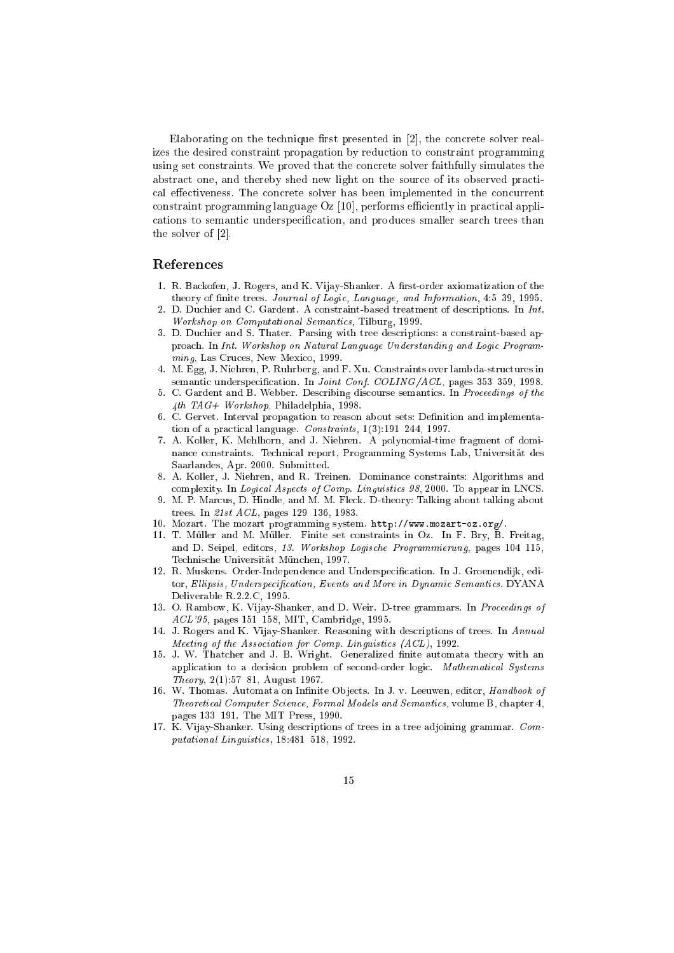Elaborating on the technique first presented in  $[2]$ , the concrete solver realizes the desired onstraint propagation by redu
tion to onstraint programming using set constraints. We proved that the concrete solver faithfully simulates the abstract one, and thereby shed new light on the source of its observed practical effectiveness. The concrete solver has been implemented in the concurrent constraint programming language  $Oz$  [10], performs efficiently in practical applications to semantic underspecification, and produces smaller search trees than the solver of  $[2]$ .

# Referen
es

- 1. R. Backofen, J. Rogers, and K. Vijay-Shanker. A first-order axiomatization of the theory of finite trees. Journal of Logic, Language, and Information, 4:5-39, 1995.
- D. Duchier and C. Gardent. A constraint-based treatment of descriptions. In Int. Workshop on Computational Semanti
s, Tilburg, 1999.
- 3. D. Du
hier and S. Thater. Parsing with tree des
riptions: a onstraint-based approach. In Int. Workshop on Natural Language Understanding and Logic Programming, Las Cruces, New Mexico, 1999.
- 4. M. Egg, J. Niehren, P. Ruhrberg, and F. Xu. Constraints over lambda-stru
tures in semantic underspecification. In Joint Conf. COLING/ACL, pages 353-359, 1998.
- 5. C. Gardent and B. Webber. Des
ribing dis
ourse semanti
s. In Pro
eedings of the  $4th$   $TAG+$   $Workshop$ , Philadelphia, 1998.
- 6. C. Gervet. Interval propagation to reason about sets: Definition and implementation of a practical language. Constraints,  $1(3):191-244$ , 1997.
- 7. A. Koller, K. Mehlhorn, and J. Niehren. A polynomial-time fragment of dominan
e onstraints. Te
hni
al report, Programming Systems Lab, Universitat des Saarlandes, Apr. 2000. Submitted.
- 8. A. Koller, J. Niehren, and R. Treinen. Dominan
e onstraints: Algorithms and complexity. In Logical Aspects of Comp. Linguistics 98, 2000. To appear in LNCS.
- 9. M. P. Marcus, D. Hindle, and M. M. Fleck. D-theory: Talking about talking about trees. In 21st ACL, pages 129-136, 1983.
- 10. Mozart. The mozart programming system. http://www.mozart-oz.org/.
- 11. T. Muller and M. Muller. Finite set onstraints in Oz. In F. Bry, B. Freitag, and D. Seipel, editors, 13. Workshop Logische Programmierung, pages 104-115, Technische Universität München, 1997.
- 12. R. Muskens. Order-Independence and Underspecification. In J. Groenendijk, editor, Ellipsis, Underspecification, Events and More in Dynamic Semantics. DYANA Deliverable R.2.2.C, 1995.
- 13. O. Rambow, K. Vijay-Shanker, and D. Weir. D-tree grammars. In Proceedings of ACL'95, pages 151-158, MIT, Cambridge, 1995.
- 14. J. Rogers and K. Vijay-Shanker. Reasoning with descriptions of trees. In Annual Meeting of the Association for Comp. Linguistics (ACL), 1992.
- 15. J. W. Thatcher and J. B. Wright. Generalized finite automata theory with an application to a decision problem of second-order logic. Mathematical Systems Theory,  $2(1):57{-}81$ , August 1967.
- 16. W. Thomas. Automata on Infinite Objects. In J. v. Leeuwen, editor, Handbook of Theoretical Computer Science, Formal Models and Semantics, volume B, chapter 4, pages 133-191. The MIT Press, 1990.
- 17. K. Vijay-Shanker. Using des
riptions of trees in a tree adjoining grammar. Com $p$ utational Linguistics, 18:481-518, 1992.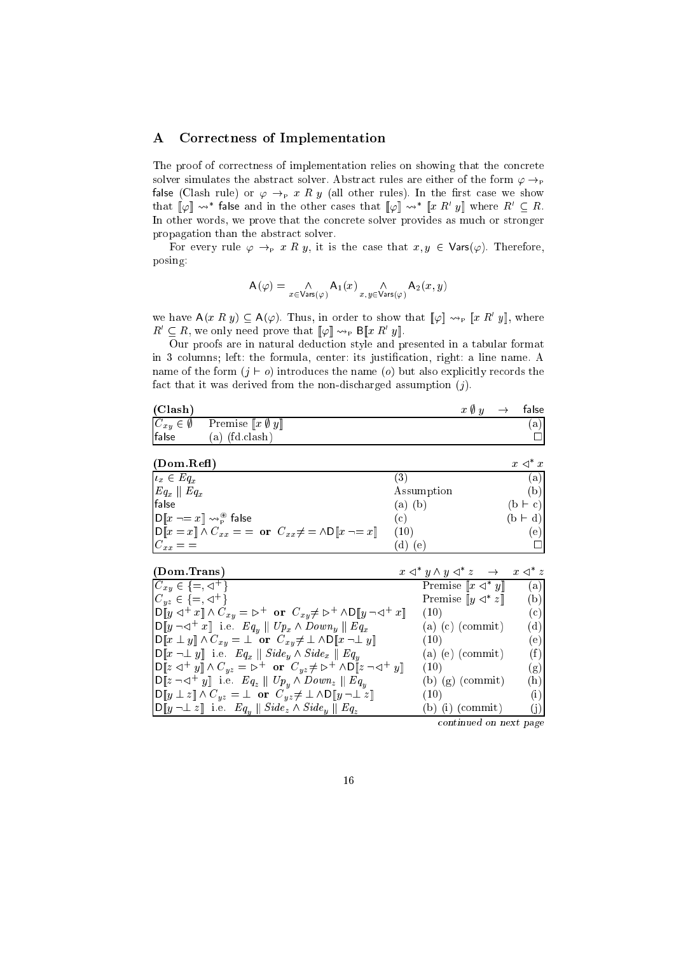# A Corre
tness of Implementation

The proof of correctness of implementation relies on showing that the concrete solver simulates the abstract solver. Abstract rules are either of the form  $\varphi \rightarrow_{\mathbb{P}}$ false (Clash rule) or  $\varphi \rightarrow_{P} x R y$  (all other rules). In the first case we show that  $\llbracket \varphi \rrbracket \rightsquigarrow^*$  false and in the other cases that  $\llbracket \varphi \rrbracket \rightsquigarrow^* \llbracket x R' y \rrbracket$  where  $R' \subseteq R$ . In other words, we prove that the concrete solver provides as much or stronger propagation than the abstract solver.

For every rule  $\varphi \to_{\mathbb{P}} x R y$ , it is the case that  $x, y \in \mathsf{Vars}(\varphi)$ . Therefore, posing:

$$
\mathsf{A}(\varphi) = \underset{x \in \mathsf{Vars}(\varphi)}{\wedge} \mathsf{A}_1(x) \underset{x,y \in \mathsf{Vars}(\varphi)}{\wedge} \mathsf{A}_2(x,y)
$$

we have  $A(x R y) \subseteq A(\varphi)$ . Thus, in order to show that  $[\varphi] \leadsto_{\mathbb{P}} [x R' y]$ , where  $R' \subseteq R$ , we only need prove that  $[\![\varphi]\!] \leadsto_{\mathrm{P}} \mathsf{B}[\![x\;R'\;y]\!]$ .

Our proofs are in natural dedu
tion style and presented in a tabular format in 3 columns; left: the formula, center: its justification, right: a line name. A name of the form  $(j \vdash o)$  introduces the name  $(o)$  but also explicitly records the fact that it was derived from the non-discharged assumption  $(j)$ .

| (Clash) |                                                                      | $x \, \emptyset \, y \quad \rightarrow \quad$ false |     |
|---------|----------------------------------------------------------------------|-----------------------------------------------------|-----|
|         | $C_{xy} \in \emptyset$ Premise $\llbracket x \emptyset y \rrbracket$ |                                                     | (a) |
| false   | (a) (fd.clash)                                                       |                                                     |     |

| (Dom. Ref)                                                                                                                                 |            | $x \triangleleft^* x$ |
|--------------------------------------------------------------------------------------------------------------------------------------------|------------|-----------------------|
| $\vert u_x \in Eq_x$                                                                                                                       |            | (a)                   |
| $\vert Eq_{x}\vert\vert$ $Eq_{x}$                                                                                                          | Assumption | (b)                   |
| false                                                                                                                                      | (b<br>a)   | $(b \vdash c)$        |
| $\left  \mathrm{D} \llbracket x \rightharpoondown = x \rrbracket \rightsquigarrow^{\circledast}_{\mathrm{P}}$ false                        | (c)        | $(b + d)$             |
| $\mathbf{D}\llbracket x = x \rrbracket \wedge C_{xx} = \mathbf{or} \ \ C_{xx} \neq \mathbf{or} \ \mathbf{D}\llbracket x \neg x \rrbracket$ | (10)       | (e)                   |
| $C_{xx} =$                                                                                                                                 | (e         |                       |

| (Dom. Trans)                                                                                                                                                                         | $x \triangleleft^* y \wedge y \triangleleft^* z \quad \rightarrow \quad x \triangleleft^* z$ |     |
|--------------------------------------------------------------------------------------------------------------------------------------------------------------------------------------|----------------------------------------------------------------------------------------------|-----|
| $C_{xy} \in \{ =, \triangleleft^+ \}$                                                                                                                                                | <b>Premise</b> $\llbracket x \prec^* y \rrbracket$                                           | (a) |
| $C_{uz} \in \{ =, \triangleleft^+ \}$                                                                                                                                                | Premise $\llbracket y \prec^* z \rrbracket$                                                  | (b) |
| $\text{D}[y \triangleleft^+ x] \wedge C_{xy} = \triangleright^+ \text{ or } C_{xy} \neq \triangleright^+ \wedge \text{D}[y \neg \triangleleft^+ x]$                                  | (10)                                                                                         | (c) |
| $\text{D}[y \neg \lhd^+ x]$ i.e. $Eq_y \parallel Up_x \wedge Down_y \parallel Eq_x$                                                                                                  | $(a)$ $(c)$ $(commit)$                                                                       | (d) |
| $\text{OPT}[x \perp y] \wedge C_{xy} = \perp \text{ or } C_{xy} \neq \perp \wedge \text{OPT}[x \neg \perp y]$                                                                        | (10)                                                                                         | (e) |
| $\ \mathsf{D}\ x\,\neg \bot\, y\ $ i.e. $Eq_x \parallel Side_y \wedge Side_x \parallel Eq_y$                                                                                         | $(a)$ $(e)$ $(commit)$                                                                       | (f) |
| $\left[\mathsf{D}\right[\![z \triangleleft^+ y]\!]\wedge C_{yz} = \mathsf{D}^+ \text{ or } C_{yz} \neq \mathsf{D}^+ \wedge \mathsf{D}\mathbb{I}[z \neg \vartriangleleft^+ y]\right]$ | (10)                                                                                         | (g) |
| $\text{D}\llbracket z \neg \lhd^+ y \rrbracket$ i.e. $Eq_z \parallel Up_y \wedge Down_z \parallel Eq_y$                                                                              | $(b)$ $(g)$ (commit)                                                                         | (h) |
| $\text{D}[y \perp z] \wedge C_{yz} = \perp \text{ or } C_{yz} \neq \perp \wedge D[y \neg \perp z]$                                                                                   | (10)                                                                                         | (i) |
| $\ D\ y\ \perp z\ $ i.e. $Eq_u \ Side_z \wedge Side_y \  Eq_z$                                                                                                                       | $(b)$ (i) (commit)                                                                           | (i) |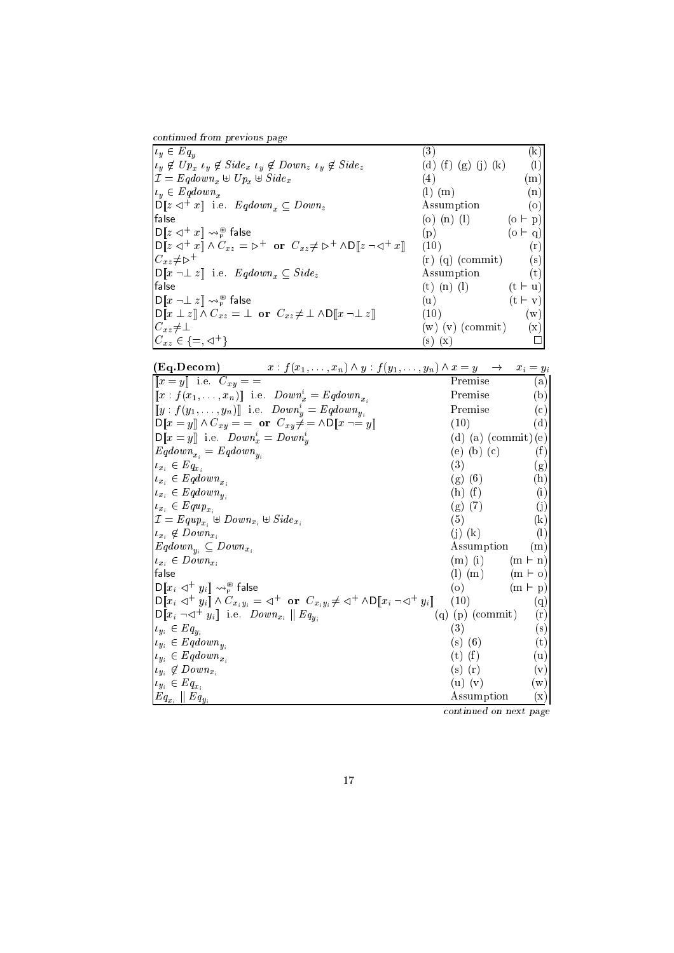ontinued from previous page

 $y - 2y$  $\langle 3 \rangle$  (3)  $\langle 3 \rangle$ y <sup>62</sup> Upx y <sup>62</sup> Sidex y <sup>62</sup> Downz y <sup>62</sup> Sidez (d) (f ) (g) (j) (k) (l)  $\mathcal{I} = \mathcal{I} = \mathcal{I} = \mathcal{I} = \mathcal{I} = \mathcal{I} = \mathcal{I} = \mathcal{I} = \mathcal{I} = \mathcal{I} = \mathcal{I} = \mathcal{I} = \mathcal{I} = \mathcal{I} = \mathcal{I} = \mathcal{I} = \mathcal{I} = \mathcal{I} = \mathcal{I} = \mathcal{I} = \mathcal{I} = \mathcal{I} = \mathcal{I} = \mathcal{I} = \mathcal{I} = \mathcal{I} = \mathcal{I} = \mathcal{I} = \mathcal{I} = \mathcal{I} = \mathcal{I} = \mathcal$  $y = 1$  $\mathbb{D}[[z \triangle^{+} x]]$  i.e.  $Eqdown_x \subseteq Down_z$  Assumption (o)  $\begin{pmatrix} 1 \end{pmatrix}$  (o) (n) (l) (o  $\vdash p$ )  $\textsf{D}\llbracket z\lhd^+ x\rrbracket \leadsto$  $_{\rm p}^{\circledast}$  false (0  $\vdash$  q)  $\textsf{D}\|z\lhd^+x\|\wedge C_{xz}=\rhd^+ \textbf{ or } C_{xz}\neq \rhd^+ \wedge \textsf{D}\|z\lnot\lhd^+$  $(10)$  (r)  $C_{xz}$ F $\geq$  $(r)$  (q) (commit) (s)  $\mathsf{D}\llbracket x \neg \bot z \rrbracket$  i.e.  $Eqdown_x \subseteq Side_z$  Assumption (t)  $\int f$ alse  $(t)$  (n)  $(l)$   $(t + u)$  $\bigl\lceil\mathsf{D}\llbracket x\lnot\perp z\rrbracket\leadsto_{\mathtt{P}}^{\circledast} \mathsf{false}$ (u)  $(t \vdash v)$  $D\|x \perp z\| \wedge C_{xz} = \perp$  or  $C_{xz} \neq \perp \wedge D\|x \neg \perp z\|$  (10) (w)  $C_{xz}\neq \perp$  (w) (v) (commit) (x)  $C_{xz} \in \{=, \leq \cdot \}$  $(s)$   $(x)$ 

| (Eq.Decom) $x : f(x_1, \ldots, x_n) \wedge y : f(y_1, \ldots, y_n) \wedge x = y \rightarrow x_i = y_i$                                                                                                        |                                     |                            |
|---------------------------------------------------------------------------------------------------------------------------------------------------------------------------------------------------------------|-------------------------------------|----------------------------|
| $\llbracket x = y \rrbracket$ i.e. $C_{xy} = -$                                                                                                                                                               | Premise                             | (a)                        |
| $\llbracket x : f(x_1, \ldots, x_n) \rrbracket$ i.e. $Down_x^i = Eqdown_{x_i}$                                                                                                                                | Premise                             | (b)                        |
| $[y : f(y_1, \ldots, y_n)]$ i.e. $Down^i_y = Eqdown_{y_i}$                                                                                                                                                    | Premise                             | $^{\rm (c)}$               |
| $\mathsf{D}\llbracket x = y \rrbracket \wedge C_{xy} = \textbf{or} \ \ C_{xy} \neq \textbf{or} \ \mathsf{D}\llbracket x \neg \equiv y \rrbracket$                                                             | (10)                                | $(\mathrm{d})$             |
| $D\llbracket x = y \rrbracket$ i.e. $Down_x^i = Down_y^i$                                                                                                                                                     | (d) (a) $\text{(commit)}\text{(e)}$ |                            |
| $Eqdown_{x_i}=Eqdown_{y_i}$                                                                                                                                                                                   | (e) (b) (c)                         | (f)                        |
| $u_{x_i} \in Eq_{x_i}$                                                                                                                                                                                        | (3)                                 | (g)                        |
| $u_{x_i} \in Eqdown_{x_i}$                                                                                                                                                                                    | $(g)$ (6)                           | (h)                        |
| $u_{x_i} \in Eqdown_{u_i}$                                                                                                                                                                                    | $(h)$ $(f)$                         | (i)                        |
| $u_{x_i} \in \mathit{Equp}_{x_i}$                                                                                                                                                                             | $(g)$ (7)                           | $\rm (j)$                  |
| $\mathcal{I} = \textit{Equp}_{x_i} \oplus \textit{Down}_{x_i} \oplus \textit{Side}_{x_i}$                                                                                                                     | (5)                                 | $\left( \mathrm{k}\right)$ |
| $u_{x_i} \notin Down_{x_i}$                                                                                                                                                                                   | $(j)$ $(k)$                         | $\left( \mathrm{l}\right)$ |
| $Eqdown_{y_i} \subseteq Down_{x_i}$                                                                                                                                                                           | Assumption                          | (m)                        |
| $u_{x_i} \in Down_{x_i}$                                                                                                                                                                                      | $(m)$ (i)                           | $(m \vdash n)$             |
| false                                                                                                                                                                                                         | $(l)$ $(m)$                         | $(m \vdash o)$             |
| $\mathsf{D} \llbracket x_i \lhd^+ y_i \rrbracket \leadsto_{\mathsf{P}}^{\circledast} \mathsf{false}$                                                                                                          | (o)                                 | $(m \vdash p)$             |
| $\mathsf{D}\llbracket x_i \triangleleft^+ y_i \rrbracket \wedge C_{x_iy_i} = \triangleleft^+ \text{ or } C_{x_iy_i} \neq \triangleleft^+ \wedge \mathsf{D}\llbracket x_i \neg \triangleleft^+ y_i \rrbracket$ | (10)                                | (q)                        |
| $\mathsf{D}\llbracket x_i \neg \lhd^+ y_i \rrbracket$ i.e. $Down_{x_i} \parallel Eq_{y_i}$                                                                                                                    | $(q)$ (p) (commit)                  | (r)                        |
| $u_{y_i} \in Eq_{y_i}$                                                                                                                                                                                        | (3)                                 | $(\mathrm{s})$             |
| $u_{y_i} \in Eqdown_{u_i}$                                                                                                                                                                                    | $(s)$ (6)                           | $^{(\mathrm{t})}$          |
| $u_{y_i} \in Eqdown_{x_i}$                                                                                                                                                                                    | $(t)$ $(f)$                         | (u)                        |
| $\iota_{y_i} \notin Down_{x_i}$                                                                                                                                                                               | $(s)$ $(r)$                         | $(\mathrm{v})$             |
| $\iota_{y_i} \in Eq_{x_i}$                                                                                                                                                                                    | $(u)$ $(v)$                         | (w)                        |
| $Eq_{x_i} \parallel Eq_{y_i}$                                                                                                                                                                                 | Assumption                          | $(\mathrm{x})$             |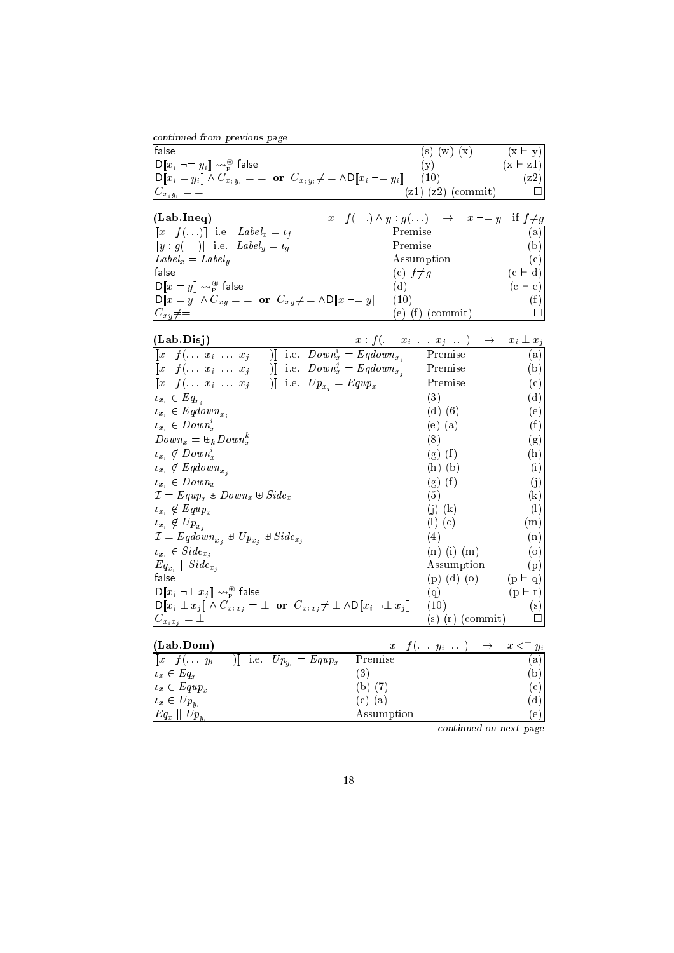| continued from previous page |  |  |
|------------------------------|--|--|
|                              |  |  |
|                              |  |  |
|                              |  |  |

| false                                                                                                                                          | (x)<br>(w)<br>(s)      | $(x \vdash y)$ |
|------------------------------------------------------------------------------------------------------------------------------------------------|------------------------|----------------|
| $\ \mathsf{D}\llbracket x_i \neg = y_i \rrbracket \leadsto_{\mathsf{P}}^{\circledast} \mathsf{false}$                                          |                        | $(x \mid z1)$  |
| $\big  \mathsf{D} [\![x_i = y_i]\!] \wedge C_{x_i y_i} = \; = \; \textbf{or} \; C_{x_i y_i} \neq \; = \wedge \mathsf{D} [\![x_i \to = y_i]\!]$ | (10)                   | $ z2\rangle$   |
| $C_{x_iy_i} =$                                                                                                                                 | $(z1)$ $(z2)$ (commit) |                |

| (Lab. Ineq)                                                                                          | $x: f(\ldots) \wedge y: g(\ldots) \rightarrow x \neg = y \text{ if } f \neq g$ |           |
|------------------------------------------------------------------------------------------------------|--------------------------------------------------------------------------------|-----------|
| $[[x : f(\ldots)]]$ i.e. $Label_x = \iota_f$                                                         | Premise                                                                        | (a)       |
| $[[y:g(\ldots)]]$ i.e. $Label_y = \iota_q$                                                           | Premise                                                                        | (b)       |
| $\lfloor Label_x = Label_u \rfloor$                                                                  | Assumption                                                                     | (c)       |
| <b>Ifalse</b>                                                                                        | (c) $f \neq g$                                                                 | $(c + d)$ |
| $\ \mathsf{D}\ x=y\  \leadsto_{\mathsf{P}}^{\circledast}$ false                                      | (d)                                                                            | $(c + e)$ |
| $\mathbf{D}[[x=y]] \wedge C_{xy} = \mathbf{or} \ \ C_{xy} \neq \mathbf{or} \ \mathbf{D}[[x \neg y]]$ | (10)                                                                           | (f)       |
| $C_{xy}\neq=$                                                                                        | $(e)$ (f) (commit)                                                             |           |

| (Lab.Disj)                                                                                                                                                          | $x: f(\ldots x_i \ldots x_j \ldots) \longrightarrow x_i \perp x_j$ |                            |
|---------------------------------------------------------------------------------------------------------------------------------------------------------------------|--------------------------------------------------------------------|----------------------------|
| $[[x: f(\ldots x_i \ldots x_j \ldots)]]$ i.e. $Down_x^i = Eqdown_{x_i}$                                                                                             | Premise                                                            | (a)                        |
| $\llbracket x : f(\ldots x_i \ldots x_j \ldots) \rrbracket$ i.e. $Down_x^j = Eqdown_{x_j}$                                                                          | Premise                                                            | (b)                        |
| $[[x: f(\ldots x_i \ldots x_j \ldots)]]$ i.e. $Up_{x_i} = Equp_x$                                                                                                   | Premise                                                            | (c)                        |
| $u_{x_i} \in Eq_{x_i}$                                                                                                                                              | (3)                                                                | (d)                        |
| $u_{x_i} \in Eqdown_{x_i}$                                                                                                                                          | $(d)$ $(6)$                                                        | (e)                        |
| $u_{x_i} \in Down^i_x$                                                                                                                                              | $(e)$ $(a)$                                                        | (f)                        |
| $Down_x = \biguplus_k Down_x^k$                                                                                                                                     | (8)                                                                | (g)                        |
| $u_{x_i} \notin Down_x^i$                                                                                                                                           | $(g)$ $(f)$                                                        | (h)                        |
| $u_{x_i} \notin Eqdown_{x_i}$                                                                                                                                       | $(h)$ $(b)$                                                        | (i)                        |
| $u_{x_i} \in Down_x$                                                                                                                                                | $(g)$ $(f)$                                                        | $\rm (j)$                  |
| $\mathcal{I} = \mathit{Equp}_x \oplus \mathit{Down}_x \oplus \mathit{Side}_x$                                                                                       | (5)                                                                | $\left( \mathrm{k}\right)$ |
| $u_{x_i} \not\in \text{Equp}_x$                                                                                                                                     | $(i)$ $(k)$                                                        | $\left(1\right)$           |
| $u_{x_i} \not\in Up_{x_i}$                                                                                                                                          | $(l)$ $(c)$                                                        | (m)                        |
| $\mathcal{I} = \text{Eqdown}_{x_i} \oplus \text{Up}_{x_i} \oplus \text{Side}_{x_i}$                                                                                 | (4)                                                                | (n)                        |
| $u_{x_i} \in \textit{Side}_{x_i}$                                                                                                                                   | $(n)$ (i) $(m)$                                                    | $\circ$                    |
| $Eq_{x_i}$    $Side_{x_j}$                                                                                                                                          | Assumption                                                         | (p)                        |
| false                                                                                                                                                               | $(p)$ (d) (o)                                                      | $(p + q)$                  |
| $\mathsf{D}\llbracket x_i \neg \bot x_j \rrbracket \leadsto_{\mathsf{P}}^{\circledast}$ false                                                                       | (q)                                                                | $(p \vdash r)$             |
| $\text{D}\llbracket x_i \perp x_j \rrbracket \wedge C_{x_i x_j} = \perp \text{ or } C_{x_i x_j} \neq \perp \wedge \text{D}\llbracket x_i \neg \perp x_j \rrbracket$ | (10)                                                               | (s)                        |
| $ C_{x_ix_j}=\bot$                                                                                                                                                  | (s) (r) (commit)                                                   |                            |

| (Lab.Dom)                                                       | $x: f(\ldots y_i \ldots) \rightarrow x \triangleleft^+ y_i$ |     |
|-----------------------------------------------------------------|-------------------------------------------------------------|-----|
| $[[x : f(\ldots y_i \ldots)]]$ i.e. $Up_{y_i} = Equp_x$ Premise |                                                             | (a) |
| $\iota_x \in Eq_x$                                              | $\cdot$ 3                                                   | (b) |
| $\vert u_x \in \mathit{Equp}_x$                                 | (b) (7)                                                     | (c) |
| $u_x \in Up_{u_i}$                                              | (c) (a)                                                     | (d) |
| $\ Eq_x\ $ $Up_{u_i}$                                           | Assumption                                                  | 'e) |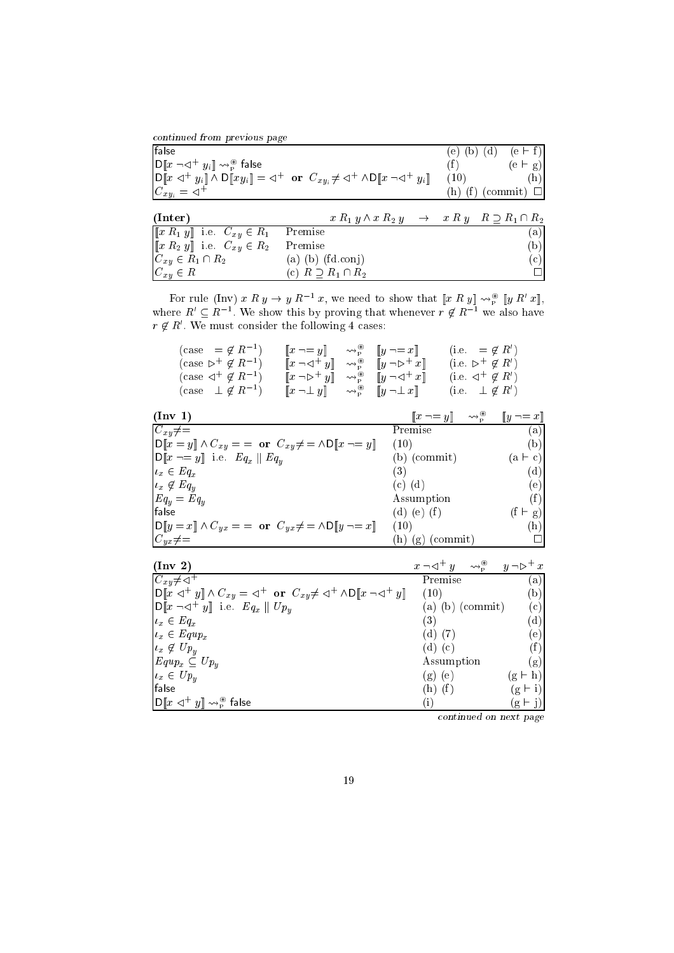ontinued from previous page

| false                                                                       |                                                                                                                                                                                                                                       | e l  | $(e \vdash f)$<br>$(b)$ $(d)$ |
|-----------------------------------------------------------------------------|---------------------------------------------------------------------------------------------------------------------------------------------------------------------------------------------------------------------------------------|------|-------------------------------|
| $\ \mathsf{D}\ x\neg\lhd^+ y_i\  \leadsto_{\mathsf{P}}^{\circledast}$ false |                                                                                                                                                                                                                                       | (f)  | $(e \vdash g)$                |
|                                                                             | $\left  \text{D} \llbracket x \triangleleft^+ y_i \rrbracket \wedge \text{D} \llbracket xy_i \rrbracket = \triangleleft^+ \text{ or } C_{xy_i} \neq \triangleleft^+ \wedge \text{D} \llbracket x \neg \triangleleft^+ y_i \rrbracket$ | (10) | $(\mathrm{h})$                |
| $C_{xy_i} = \lhd^+$                                                         |                                                                                                                                                                                                                                       |      | (h) (f) (commit) $\square$    |
|                                                                             |                                                                                                                                                                                                                                       |      |                               |
| (Inter)                                                                     | $x R_1 y \wedge x R_2 y \rightarrow x R y R \supset R_1 \cap R_2$                                                                                                                                                                     |      |                               |
| $[[x R_1 y]]$ i.e. $C_{xy} \in R_1$                                         | Premise                                                                                                                                                                                                                               |      | (a)                           |
| $[[x R_2 y]]$ i.e. $C_{xy} \in R_2$                                         | Premise                                                                                                                                                                                                                               |      | (b)                           |
| $C_{xy} \in R_1 \cap R_2$                                                   | $(a)$ $(b)$ $(fd.comj)$                                                                                                                                                                                                               |      | $(\rm c)$                     |
| $C_{xy} \in R$                                                              | (c) $R \supset R_1 \cap R_2$                                                                                                                                                                                                          |      |                               |

For rule (Inv)  $x \mathrel{\mathbf{R}} y \to y \mathrel{\mathbf{R}} z$ , we need to show that  $\llbracket x \mathrel{\mathbf{R}} y \rrbracket \leadsto_{\widetilde{P}} \llbracket y \mathrel{\mathbf{R}} z \rrbracket$ , where  $R_1 \subseteq R_1$  are show this by proving that whenever  $r \notin R_1$  are also have  $r \notin R$  we must consider the following 4 cases:

| $(\case = \notin R^{-1})$      | $\llbracket x \neg = y \rrbracket$ $\leadsto_p^*$ $\llbracket y \neg = x \rrbracket$                                          |  | (i.e. $= \notin R'$ )                |
|--------------------------------|-------------------------------------------------------------------------------------------------------------------------------|--|--------------------------------------|
| $(\case \rhd^+ \notin R^{-1})$ | $\llbracket x \neg \lhd^+ y \rrbracket \quad \leadsto^{\circledast}_{\mathsf{P}} \quad \llbracket y \neg \rhd^+ x \rrbracket$ |  | (i.e. $\triangleright^+ \notin R'$ ) |
| $(\case \lhd^+ \notin R^{-1})$ | $\llbracket x \neg \rhd^+ y \rrbracket \leadsto^*_{\rbrack p} \llbracket y \neg \lhd^+ x \rrbracket$                          |  | (i.e. $\lhd^+ \notin R'$ )           |
| $(\case \perp \notin R^{-1})$  | $\llbracket x \neg \bot y \rrbracket \qquad \leadsto^{\circ\!\circ}_{\text{P}} \quad \llbracket y \neg \bot x \rrbracket$     |  | (i.e. $\perp \notin R'$ )            |

| $(\text{Inv } 1)$                                                                                                                     | $\ x\  = y$     | $\rightsquigarrow^{\circledR}_{\mathbf{p}}$<br>$  y \neg = x  $ |
|---------------------------------------------------------------------------------------------------------------------------------------|-----------------|-----------------------------------------------------------------|
| $C_{xy}\neq=$                                                                                                                         | Premise         | (a)                                                             |
| $\text{D}\llbracket x = y \rrbracket \wedge C_{xy} = \text{or} \ \ C_{xy} \neq \text{and} \ \text{D}\llbracket x \neg = y \rrbracket$ | (10)            | (b)                                                             |
| $\llbracket D \rrbracket x \neg = y \rrbracket$ i.e. $Eq_x \parallel Eq_y$                                                            | $(b)$ (commit)  | (a ⊢ c)                                                         |
| $u_x \in Eq_x$                                                                                                                        | 3)              | (d)                                                             |
| $\iota_x \notin Eq_y$                                                                                                                 | $(c)$ $(d)$     | (e)                                                             |
| $Eq_y = Eq_y$                                                                                                                         | Assumption      | (f`                                                             |
| false                                                                                                                                 | (d) (e) $(f)$   | $\vdash$ g)                                                     |
| $\text{OPT}[D  y = x] \wedge C_{yx} = \text{or} \ \ C_{yx} \neq \text{OPT}[D  y = x]$                                                 | (10)            | $(\mathrm{h})$                                                  |
| $C_{yx} \neq 0$                                                                                                                       | (commit)<br>(g) |                                                                 |

| $(\text{Inv } 2)$                                                                                                                                 | $x \neg \lhd^+ y \quad \leadsto^{\circledast}_{\mathbb{P}} \quad y \neg \rhd^+ x$ |                |
|---------------------------------------------------------------------------------------------------------------------------------------------------|-----------------------------------------------------------------------------------|----------------|
| $C_{xy}\neq\lhd^+$                                                                                                                                | Premise                                                                           | (a)            |
| $\text{D}[x \triangleleft^+ y] \wedge C_{xy} = \triangleleft^+ \text{ or } C_{xy} \neq \triangleleft^+ \wedge \text{D}[x \neg \triangleleft^+ y]$ | (10)                                                                              | (b)            |
| $\begin{bmatrix} \nD \llbracket x \neg \lhd^+ y \rrbracket \quad \text{i.e.} \quad Eq_x \parallel Up_y \n\end{bmatrix}$                           | $(a)$ $(b)$ $(commit)$                                                            | (c)            |
| $\iota_x \in Eq_x$                                                                                                                                | (3)                                                                               | (d)            |
| $u_x \in \mathit{Equp}_x$                                                                                                                         | $(d)$ $(7)$                                                                       | (e)            |
| $u_x \notin Up_y$                                                                                                                                 | $(d)$ $(c)$                                                                       |                |
| $\big  \mathit{Equp}_x \subseteq \mathit{Up}_y$                                                                                                   | Assumption                                                                        | (g)            |
| $u_x \in Up_u$                                                                                                                                    | $(g)$ (e)                                                                         | $(g \vdash h)$ |
| false                                                                                                                                             | $(h)$ $(f)$                                                                       | $(g \vdash i)$ |
| $\left  \mathrm{D} \llbracket x \vartriangleleft^+ y \rrbracket \leadsto^{\circledast}_{\mathrm{P}} \mathsf{false} \right.$                       | (i)                                                                               | $(g \vdash j)$ |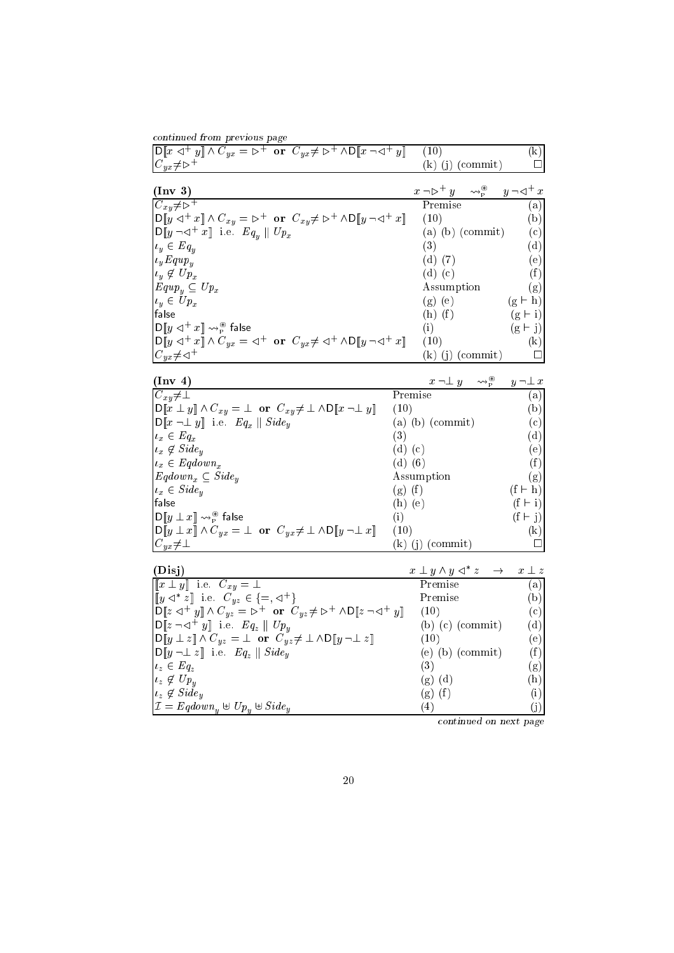| continued from previous page                                                                                                                                                                  |             |                                                                                             |                                                             |                            |
|-----------------------------------------------------------------------------------------------------------------------------------------------------------------------------------------------|-------------|---------------------------------------------------------------------------------------------|-------------------------------------------------------------|----------------------------|
| $\mathsf{D}\llbracket x \triangleleft^+ y \rrbracket \land C_{yx} = \triangleright^+ \text{ or } C_{yx} \neq \triangleright^+ \land \mathsf{D}\llbracket x \neg \triangleleft^+ y \rrbracket$ |             | (10)                                                                                        |                                                             | $\left( \mathrm{k}\right)$ |
| $C_{yx} \neq \triangleright^+$                                                                                                                                                                |             |                                                                                             | $(k)$ (j) (commit)                                          |                            |
|                                                                                                                                                                                               |             |                                                                                             |                                                             |                            |
| $(\text{Inv } 3)$                                                                                                                                                                             |             | $x \neg \triangleright^+ y \quad \leadsto^{\circledast}_{P} \quad y \neg \triangleleft^+ x$ |                                                             |                            |
| $C_{xy}\neq\triangleright^+$                                                                                                                                                                  |             | Premise                                                                                     |                                                             | (a)                        |
| $D[y \triangleleft^+ x] \wedge C_{xy} = \triangleright^+ \text{ or } C_{xy} \neq \triangleright^+ \wedge D[y \neg \triangleleft^+ x]$                                                         |             | (10)                                                                                        |                                                             | (b)                        |
| $\mathsf{D}\llbracket y \neg \lhd^+ x \rrbracket$ i.e. $Eq_y \parallel Up_x$                                                                                                                  |             |                                                                                             | $(a)$ $(b)$ $(commit)$                                      | (c)                        |
| $u_y \in Eq_u$                                                                                                                                                                                |             | (3)                                                                                         |                                                             | (d)                        |
| $\iota_y \mathit{Equp}_y$                                                                                                                                                                     |             | $(d)$ $(7)$                                                                                 |                                                             | (e)                        |
| $\iota_y \notin Up_x$                                                                                                                                                                         |             | $(d)$ $(c)$                                                                                 |                                                             | (f)                        |
| $Equp_u \subseteq Up_x$                                                                                                                                                                       |             | Assumption                                                                                  |                                                             | (g)                        |
| $u_y \in Up_x$                                                                                                                                                                                |             | $(g)$ (e)                                                                                   |                                                             | $(g \vdash h)$             |
| false                                                                                                                                                                                         |             | $(h)$ $(f)$                                                                                 |                                                             | $(g \vdash i)$             |
| $\mathsf{D}\llbracket y \vartriangleleft^+ x \rrbracket \leadsto_{\scriptscriptstyle{\mathsf{P}}}^{\scriptscriptstyle{\circ\circ}}$ false                                                     |             | (i)                                                                                         |                                                             | $(g + j)$                  |
| $\mathsf{D}\llbracket y \lhd^+ x \rrbracket \wedge C_{yx} = \lhd^+ \text{ or } C_{yx} \neq \lhd^+ \wedge \mathsf{D}\llbracket y \lnot \lhd^+ x \rrbracket$                                    |             | (10)                                                                                        |                                                             | (k)                        |
| $C_{yx}{\neq}\sphericalangle^{-1}$                                                                                                                                                            |             |                                                                                             | $(k)$ (j) (commit)                                          |                            |
|                                                                                                                                                                                               |             |                                                                                             |                                                             |                            |
| (Inv 4)                                                                                                                                                                                       |             |                                                                                             | $x \neg \bot y \longrightarrow_{\mathcal{P}}^{\circledast}$ | $y \neg \bot x$            |
| $C_{xy}\neq\perp$                                                                                                                                                                             | Premise     |                                                                                             |                                                             | (a)                        |
| $\mathsf{D}\llbracket x \perp y \rrbracket \wedge C_{xy} = \perp \text{ or } C_{xy} \neq \perp \wedge \mathsf{D}\llbracket x \neg \perp y \rrbracket$                                         | (10)        |                                                                                             |                                                             | (b)                        |
| $\mathsf{D}\llbracket x \neg \bot y \rrbracket$ i.e. $Eq_x \parallel Side_y$                                                                                                                  |             | $(a)$ $(b)$ $(commit)$                                                                      |                                                             | (c)                        |
| $u_x \in Eq_x$                                                                                                                                                                                | (3)         |                                                                                             |                                                             | (d)                        |
| $u_x \notin \mathit{Side}_u$                                                                                                                                                                  | $(d)$ $(c)$ |                                                                                             |                                                             | (e)                        |
| $u_x \in Eqdown_x$                                                                                                                                                                            | $(d)$ $(6)$ |                                                                                             |                                                             | (f)                        |
| $Eqdown_n \subseteq Side_u$                                                                                                                                                                   |             | Assumption                                                                                  |                                                             | (g)                        |
| $u_x \in \textit{Side}_u$                                                                                                                                                                     | $(g)$ $(f)$ |                                                                                             |                                                             | $(f \vdash h)$             |
| false                                                                                                                                                                                         | $(h)$ (e)   |                                                                                             |                                                             | $(f \vdash i)$             |
| $\mathsf{D}\llbracket y \perp x \rrbracket \rightsquigarrow^{\circledast}_{\mathsf{P}} \mathsf{false}$                                                                                        | (i)         |                                                                                             |                                                             | $(f \vdash j)$             |
| $\mathsf{D}\llbracket y \perp x \rrbracket \wedge C_{yx} = \perp \text{ or } C_{yx} \neq \perp \wedge \mathsf{D}\llbracket y \neg \perp x \rrbracket$                                         | (10)        |                                                                                             |                                                             | $\left( \mathrm{k}\right)$ |
| $C_{yx}\neq\perp$                                                                                                                                                                             |             | $(k)$ (j) (commit)                                                                          |                                                             |                            |

| ۰.<br>⊸ |  |
|---------|--|
|         |  |

(DIS))  $x \perp y \wedge y \triangleleft y$ <sup>=</sup> ? Premise (a)

| $\left[ \begin{bmatrix} y & \triangle^{*} z \end{bmatrix} \right]$ i.e. $C_{yz} \in \left\{ =, \triangle^{+} \right\}$                                | Premise                | (b) |
|-------------------------------------------------------------------------------------------------------------------------------------------------------|------------------------|-----|
| $\text{D} [z \triangleleft^+ y] \wedge C_{yz} = \triangleright^+ \text{ or } C_{yz} \neq \triangleright^+ \wedge \text{D} [z \neg \triangleleft^+ y]$ | (10)                   | (c) |
| $\begin{bmatrix} \nD \llbracket z \neg \lhd^+ y \rrbracket \quad \text{i.e.} \quad Eq_z \parallel Up_y \end{bmatrix}$                                 | $(b)$ $(c)$ $(commit)$ | (d) |
| $\text{D}[y \perp z] \wedge C_{yz} = \perp \text{ or } C_{yz} \neq \perp \wedge \text{D}[y \neg \perp z]$                                             | (10)                   | (e) |
| $\text{D}[y \neg \bot z]$ i.e. $Eq_z \parallel Side_y$                                                                                                | $(e)$ $(b)$ $(commit)$ | (f) |
| $\iota_z \in Eq_z$                                                                                                                                    | (3)                    | (g) |
| $\iota_z \notin Up_u$                                                                                                                                 | $(g)$ $(d)$            | (h) |
| $\vert_{t_z} \notin \textit{Side}_u$                                                                                                                  | $(g)$ $(f)$            | (i) |
| $\mathcal{I} = \text{Eqdown}_{u} \oplus \text{Up}_{u} \oplus \text{Side}_{u}$                                                                         | 4)                     | (j) |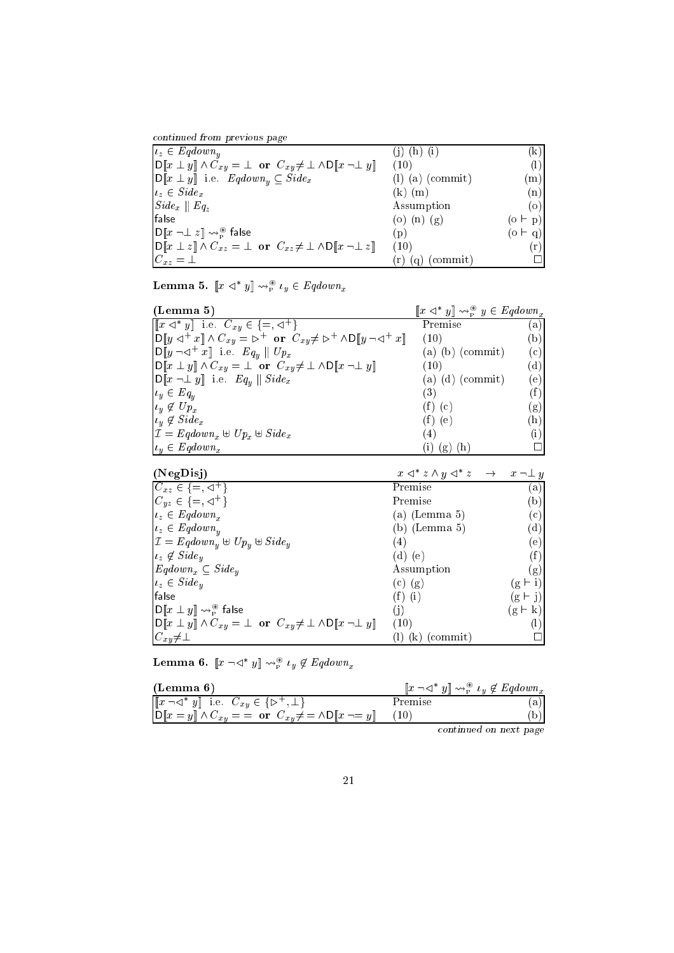ontinued from previous page

| $\iota_z \in \text{Eqdown}_u$                                                                                                                     |                      | k)             |
|---------------------------------------------------------------------------------------------------------------------------------------------------|----------------------|----------------|
| $\text{D}\llbracket x \perp y \rrbracket \wedge C_{xy} = \perp \text{ or } C_{xy} \neq \perp \wedge \text{D}\llbracket x \neg \perp y \rrbracket$ | (10)                 | (1)            |
| $\llbracket D \rrbracket x \perp y \rrbracket$ i.e. $\text{Eqdown}_y \subseteq \text{Side}_x$                                                     | $(l)$ (a) (commit)   | (m)            |
| $\vert_{t_z} \in \textit{Side}_x$                                                                                                                 | $(k)$ $(m)$          | (n)            |
| $\left  \textit{Side}_x \right  \left  \textit{Eq}_z \right $                                                                                     | Assumption           | (o)            |
| false                                                                                                                                             | (o) (n) (g)          | $(o \vdash p)$ |
| $\left  \mathrm{D} \llbracket x \neg \perp z \rrbracket \leadsto_{\mathrm{P}}^{\circledast} \mathsf{false} \right $                               | (p)                  | $(o \vdash q)$ |
| $\ D\ x \perp z\  \wedge C_{xz} = \perp$ or $C_{xz} \neq \perp \wedge D\ x \cap \perp z\ $                                                        | (10)                 | (r)            |
| $C_{xz} = \perp$                                                                                                                                  | $(r)$ $(q)$ (commit) |                |

Lemma 5.  $\|x \leq y\| \leadsto_{\mathbb{P}}^{\sim} \iota_y \in \mathit{Eqaown}_x$ 

| (Lemma 5)                                                                                                                                                                                                       | $\llbracket x \triangleleft^* y \rrbracket \leadsto^{\circledast}_{\mathbb{P}} y \in \text{Eqdown}_x$ |                |
|-----------------------------------------------------------------------------------------------------------------------------------------------------------------------------------------------------------------|-------------------------------------------------------------------------------------------------------|----------------|
| $\left[\begin{bmatrix} x & \triangleleft^* y \end{bmatrix}\right]$ i.e. $C_{xy} \in \left\{=,\triangleleft^+\right\}$                                                                                           | Premise                                                                                               | a)             |
| $\left  \mathsf{D} \right \left  y \right  \triangleleft^+ x \right  \wedge C_{xy} = \mathsf{D}^+ \text{ or } C_{xy} \neq \mathsf{D}^+ \wedge \mathsf{D} \left \left[ y \right] \neg \triangleleft^+ x \right $ | (10)                                                                                                  | (b)            |
| $\begin{bmatrix} D[y \neg \lhd^+ x] & i.e. & Eq_u \end{bmatrix}$ $Up_x$                                                                                                                                         | $(a)$ $(b)$ (commit)                                                                                  | $^{\rm (c)}$   |
| $\big  \mathsf{D} [\![x \perp y]\!] \wedge C_{xy} = \bot \text{ or } C_{xy} \neq \bot \wedge \mathsf{D} [\![x \neg \bot y]\!]$                                                                                  | (10)                                                                                                  | (d)            |
| $\ \mathsf{D}\ x\ \perp y\ $ i.e. $Eq_u \ \textit{Side}_x\ $                                                                                                                                                    | $(a)$ $(d)$ (commit)                                                                                  | (e)            |
| $u_y \in Eq_y$                                                                                                                                                                                                  | (3)                                                                                                   | (f)            |
| $\vert u_y \notin Up_x$                                                                                                                                                                                         | $(f)$ $(c)$                                                                                           | g)             |
| $\vert u_y \not\in \text{Side}_x$                                                                                                                                                                               | $(f)$ (e)                                                                                             | $(\mathrm{h})$ |
| $\mathcal{I} = \text{Eqdown}_x \oplus \text{Up}_x \oplus \text{Side}_x$                                                                                                                                         | $\left( 4\right)$                                                                                     | $\rm(i)$       |
| $u_y \in Eqdown_x$                                                                                                                                                                                              | (h)<br>(g)                                                                                            |                |

| (188L15)                                                                                                                  | $x \leq x \wedge y \leq x \implies$ | $x \neg \bot y$        |
|---------------------------------------------------------------------------------------------------------------------------|-------------------------------------|------------------------|
| $C_{xz} \in \{\equiv, \prec^+\}$                                                                                          | Premise                             | a)                     |
| $C_{yz} \in \{ =, \triangleleft^+ \}$                                                                                     | Premise                             | $\mathsf{b}$           |
| $\vert_{t_z} \in \text{Eqdown}_x$                                                                                         | (a) (Lemma 5)                       | (c)                    |
| $\vert u_z \in \text{Eqdown}_y$                                                                                           | (b) (Lemma 5)                       | (d)                    |
| $\mathcal{I} = \text{Eqdown}_{u} \oplus \text{Up}_{u} \oplus \text{Side}_{y}$                                             | (4)                                 | (e)                    |
| $\vert_{t_z} \notin \text{Side}_y$                                                                                        | (d) (e)                             | (f)                    |
| $Eqdown_x \subseteq Side_y$                                                                                               | Assumption                          | (g)                    |
| $\vert_{t_z} \in \text{Side}_y$                                                                                           | $(c)$ $(g)$                         | $(g \vdash i)$         |
| false                                                                                                                     | $(f)$ (i)                           | $(g \vdash j)$         |
| $\ \mathsf{D}\llbracket x\perp y\rrbracket \leadsto_{\scriptscriptstyle\mathsf{P}}^{\scriptscriptstyle\circledast}$ false | (j)                                 | $\bf k$<br>$(g \vdash$ |
| $\text{OPT}[x \perp y] \wedge C_{xy} = \perp \text{ or } C_{xy} \neq \perp \wedge \text{OPT}[x \neg \perp y]$             | (10)                                |                        |
| $C_{xy}\neq\perp$                                                                                                         | (commit)<br>(k)                     |                        |

**Lemma 0.**  $\llbracket x \rceil \ll 1$   $\forall y \not\in \text{Equation}_{x}$ 

| (Lemma 6)                                                                                                                             | $\llbracket x \neg \lhd^* y \rrbracket \leadsto^{\circledast}_{\mathsf{P}} \iota_y \not\in \mathit{Eqdown}_x$ |   |
|---------------------------------------------------------------------------------------------------------------------------------------|---------------------------------------------------------------------------------------------------------------|---|
| $\llbracket x \neg \lhd^* y \rrbracket$ i.e. $C_{xy} \in \{\rhd^+, \bot\}$                                                            | Premise                                                                                                       | a |
| $\text{D}\llbracket x = y \rrbracket \wedge C_{xy} = \text{or} \ \ C_{xy} \neq \text{and} \ \text{D}\llbracket x \neg = y \rrbracket$ |                                                                                                               |   |
|                                                                                                                                       |                                                                                                               |   |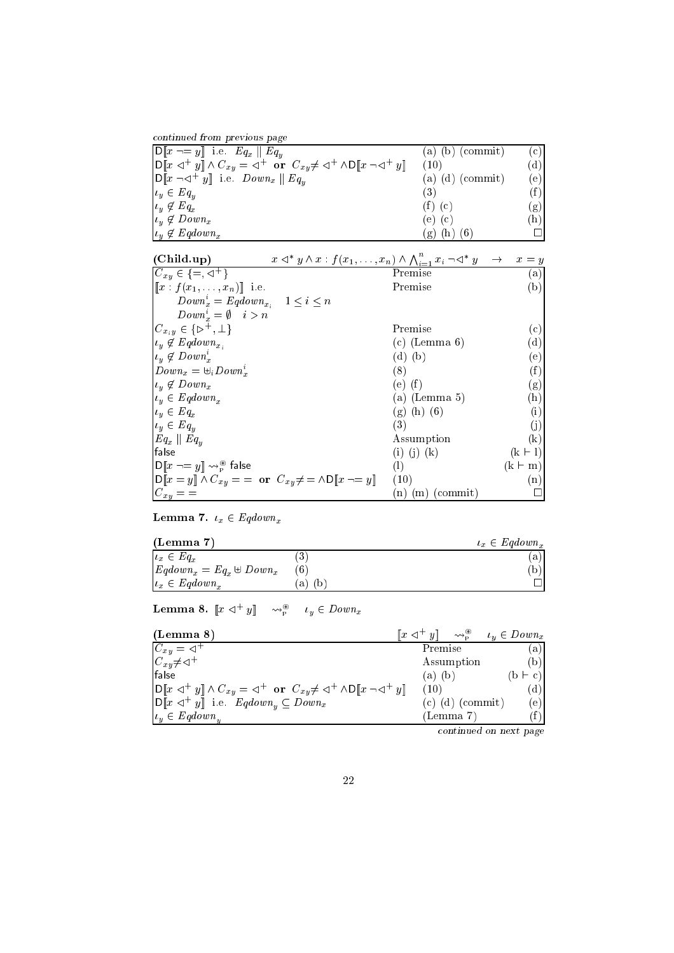| continued from previous page                                                                                                                                                                       |                        |     |
|----------------------------------------------------------------------------------------------------------------------------------------------------------------------------------------------------|------------------------|-----|
| $\overline{\mathrm{D}}\llbracket x \neg = y \rrbracket$ i.e. $Eq_x \parallel Eq_y$                                                                                                                 | $(a)$ $(b)$ $(commit)$ | (c) |
| $\left  \mathsf{D} \right[\![x \triangleleft^+ y] \! \right] \wedge C_{xy} = \triangleleft^+ \text{ or } C_{xy} \neq \triangleleft^+ \wedge \mathsf{D} \left[\![x \neg \triangleleft^+ y] \right]$ | (10)                   | (d) |
| $\ \mathsf{D}\ x\neg\lhd^+ y\ $ i.e. $Down_x \ Eq_u$                                                                                                                                               | $(a)$ $(d)$ (commit)   | (e) |
| $\vert u_y \in Eq_u$                                                                                                                                                                               | (3)                    | (f) |
| $\iota_y \notin Eq_x$                                                                                                                                                                              | $(f)$ $(c)$            | (g) |
| $\iota_y \notin Down_x$                                                                                                                                                                            | (e) (c)                | (h) |
| $u_y \notin Eqdown_x$                                                                                                                                                                              | (h)<br>(g)             |     |

| $x \triangleleft^* y \wedge x : f(x_1, \ldots, x_n) \wedge \bigwedge_{i=1}^n x_i \neg \triangleleft^* y \rightarrow x = y$<br>(Child.up) |                      |                |
|------------------------------------------------------------------------------------------------------------------------------------------|----------------------|----------------|
| $C_{xy} \in \{ =, \triangleleft^+ \}$                                                                                                    | Premise              | (a)            |
| $[[x: f(x_1,,x_n)]]$ i.e.                                                                                                                | Premise              | (b)            |
| $Down_x^i = Eqdown_{x_i}$ $1 \leq i \leq n$                                                                                              |                      |                |
| $Downri = \emptyset$ $i > n$                                                                                                             |                      |                |
| $C_{x_iy} \in \{\triangleright^+, \perp\}$                                                                                               | Premise              | l c:           |
| $u_y \notin Eqdown_{x_i}$                                                                                                                | $(c)$ (Lemma 6)      | 'd             |
| $u_y \notin Down_x^i$                                                                                                                    | $(d)$ $(b)$          | (e)            |
| $Down_x = \biguplus_i Down_x^i$                                                                                                          | (8)                  | (f)            |
| $\iota_y \notin Down_x$                                                                                                                  | (e) (f)              | (g)            |
| $u_y \in Eqdown_x$                                                                                                                       | (a) (Lemma 5)        | (h)            |
| $u_y \in Eq_x$                                                                                                                           | $(g)$ (h) (6)        | (i)            |
| $u_y \in Eq_y$                                                                                                                           | (3)                  | (j)            |
| $Eq_x \parallel Eq_y$                                                                                                                    | Assumption           | (k)            |
| false                                                                                                                                    | $(i)$ $(j)$ $(k)$    | $(k + 1)$      |
| $\textsf{D}\llbracket x \dashv = y \rrbracket \leadsto_{\scriptscriptstyle\mathsf{P}}^{\scriptscriptstyle\mathsf{P}}$ false              | (1)                  | $(k \vdash m)$ |
| $\text{inf} x = y \text{ and } C_{xy} = x$ or $C_{xy} \neq x \wedge D \text{ and } x \rightarrow y$                                      | (10)                 | (n)            |
| $C_{xy} =$                                                                                                                               | $(n)$ $(m)$ (commit) |                |

 $\alpha$  7.  $x$  2  $x$ 

| (Lemma 7)                       |                   | $u_x \in Eqdown_x$ |
|---------------------------------|-------------------|--------------------|
| $\iota_x \in Eq_x$              | ಀ                 | a                  |
| $Eqdown_x = Eq_x \oplus Down_x$ |                   | þ                  |
| $\vert u_x \in \text{Eqdown}_r$ | a)<br>$\mathbf b$ |                    |

Lemma 8.  $||x \triangleleft ||y|| \sim p$   $\rightarrow$   $\mu$   $\in$   $Down_x$ 

| (Lemma 8)                                                                                                                                         | $\llbracket x \triangleleft^+ y \rrbracket \sim \mathbb{R}^*$ |                        | $u_y \in Down_x$ |
|---------------------------------------------------------------------------------------------------------------------------------------------------|---------------------------------------------------------------|------------------------|------------------|
| $C_{xy} = \triangleleft^+$                                                                                                                        | Premise                                                       |                        | (a)              |
| $C_{xy}\neq\lhd^+$                                                                                                                                |                                                               | Assumption             | (b)              |
| lfalse                                                                                                                                            | $(a)$ $(b)$                                                   |                        | $(b \vdash c)$   |
| $\text{D}[x \triangleleft^+ y] \wedge C_{xy} = \triangleleft^+ \text{ or } C_{xy} \neq \triangleleft^+ \wedge \text{D}[x \neg \triangleleft^+ y]$ | (10)                                                          |                        | (d)              |
| $\mathcal{D}[x \triangleleft^+ y]$ i.e. $Eqdown_y \subseteq Down_x$                                                                               |                                                               | $(c)$ $(d)$ $(commit)$ | (e)              |
| $ u_u \in Eqdown_u$                                                                                                                               |                                                               | (Lemma 7)              |                  |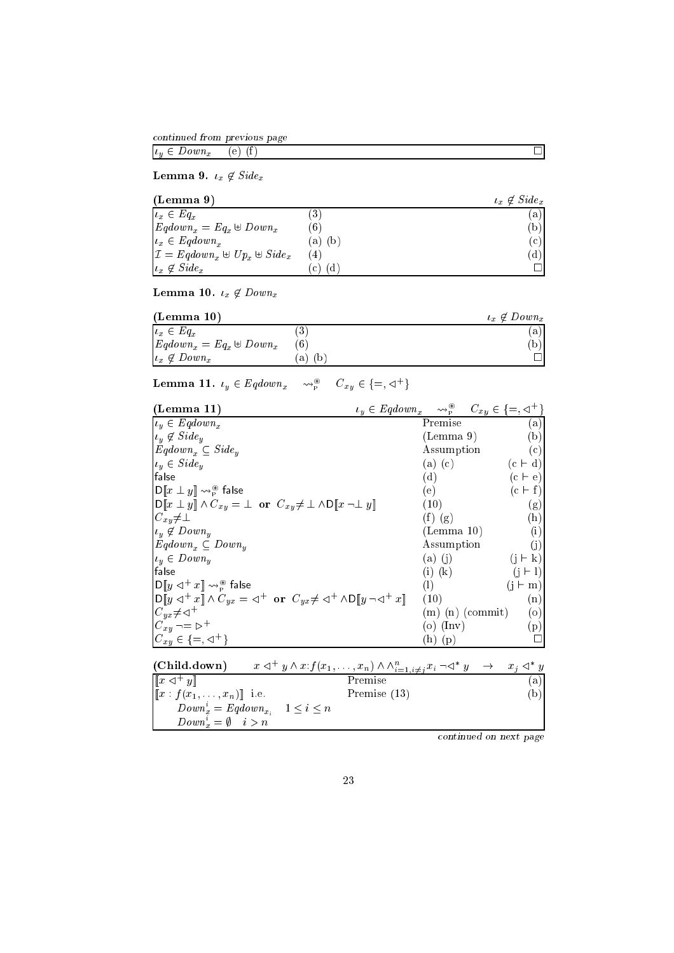ontinued from previous page

 $\alpha$  and  $\alpha$  are down  $\alpha$  and  $\alpha$  of  $\alpha$  of  $\alpha$  of  $\alpha$  of  $\alpha$  of  $\alpha$  of  $\alpha$  of  $\alpha$  of  $\alpha$  of  $\alpha$  of  $\alpha$  of  $\alpha$  of  $\alpha$  of  $\alpha$  of  $\alpha$  of  $\alpha$  of  $\alpha$  of  $\alpha$  of  $\alpha$  of  $\alpha$  of  $\alpha$  of  $\alpha$  of  $\alpha$  of  $\alpha$ 

Lemma 9. x <sup>62</sup> Sidex

| (Lemma 9)                                                               |                    | $\iota_x \notin \mathit{Side}_x$ |
|-------------------------------------------------------------------------|--------------------|----------------------------------|
| $\iota_x \in Eq_x$                                                      | $\cdot 3$          | (a)                              |
| $Eqdown_x = Eq_x \oplus Down_x$                                         | $6^{\circ}$        | (b)                              |
| $u_x \in Eqdown_x$                                                      | (b)<br>a)          | (c)                              |
| $\mathcal{I} = \text{Eqdown}_x \oplus \text{Up}_x \oplus \text{Side}_x$ | (4)                | (d)                              |
| $\mu_x \notin \textit{Side}_x$                                          | (d<br>$\mathbf{c}$ |                                  |

Lemma 10. x <sup>62</sup> Downx

| (Lemma 10)                      |    | $u_x \notin Down_x$ |
|---------------------------------|----|---------------------|
| $u_x \in Eq_x$                  |    | a)                  |
| $Eqdown_x = Eq_x \oplus Down_x$ |    | (b                  |
| $\vert u_x \notin Down_x \vert$ | a) |                     |

Lemma 11.  $l_y \in Eqdown_x$   $\leadsto_{p}^{\sim}$   $C_{xy} \in \{\equiv, \leq \rangle\}$ 

| (Lemma 11)                                                                                                                                                                                | $C_{xy} \in \{=, \triangleleft^+\}$<br>$u_y \in Eqdown_x \longrightarrow_{\mathcal{P}}^{\circledast}$ |             |
|-------------------------------------------------------------------------------------------------------------------------------------------------------------------------------------------|-------------------------------------------------------------------------------------------------------|-------------|
| $u_y \in Eqdown_x$                                                                                                                                                                        | Premise                                                                                               | (a)         |
| $ _{t_y} \notin \textit{Side}_y$                                                                                                                                                          | (Lemma 9)                                                                                             | (b)         |
| $Eqdown_x \subseteq Side_y$                                                                                                                                                               | Assumption                                                                                            | (c)         |
| $u_y \in \textit{Side}_y$                                                                                                                                                                 | $(c + d)$<br>$(a)$ $(c)$                                                                              |             |
| lfalse                                                                                                                                                                                    | (d)<br>$(c + e)$                                                                                      |             |
| $\ \mathsf{D}\ x\perp y\ \leadsto_{\mathtt{P}}^\circledast$ false                                                                                                                         | (e)<br>$(c \vdash f)$                                                                                 |             |
| $\text{min}[x \perp y] \wedge C_{xy} = \perp \text{ or } C_{xy} \neq \perp \wedge \text{min}[x \neg \perp y]$                                                                             | (10)                                                                                                  | (g)         |
| $ C_{xy}\neq \perp$                                                                                                                                                                       | $(f)$ $(g)$                                                                                           | (h)         |
| $u_y \notin Down_y$                                                                                                                                                                       | (Lemma 10)                                                                                            | (i)         |
| $Eqdown_x \subseteq Down_y$                                                                                                                                                               | Assumption                                                                                            | (j)         |
| $u_y \in Down_y$                                                                                                                                                                          | $(a)$ (j)                                                                                             | $\bf k)$    |
| false                                                                                                                                                                                     | $(i)$ $(k)$                                                                                           | $\vdash$ 1) |
| $\textsf{D}\llbracket y\vartriangleleft^+x\rrbracket \leadsto_{\scriptscriptstyle{\mathsf{P}}}^{\scriptscriptstyle{\circ\circ}}$ false                                                    | (1)                                                                                                   | m)          |
| $\begin{bmatrix} \n\mathsf{D} [y \triangleleft^+ x] \wedge C_{yx} = \triangleleft^+ \text{ or } C_{yx} \neq \triangleleft^+ \wedge \mathsf{D} [y \neg \triangleleft^+ x] \n\end{bmatrix}$ | (10)                                                                                                  | (n)         |
| $C_{ux} \neq \lhd^+$                                                                                                                                                                      | $(m)$ $(n)$ (commit)                                                                                  | $\circ$     |
| $ C_{xy} \rightarrow E^+$                                                                                                                                                                 | (o) (lnv)                                                                                             | (p)         |
| $C_{xy} \in \{ =, \lhd^+ \}$                                                                                                                                                              | (p)<br>h                                                                                              |             |

| (Child.down)                                    | $x \triangleleft^+ y \wedge x : f(x_1, \ldots, x_n) \wedge \wedge_{i=1, i \neq j}^n x_i \neg \triangleleft^* y \rightarrow x_j \triangleleft^* y$ |     |
|-------------------------------------------------|---------------------------------------------------------------------------------------------------------------------------------------------------|-----|
| $\left\Vert x\right\Vert \leq^{+} y\right\Vert$ | Premise                                                                                                                                           | (a) |
| $[[x: f(x_1, \ldots, x_n)]]$ i.e.               | Premise $(13)$                                                                                                                                    |     |
|                                                 | $Down_x^i = Eqdown_{x_i}$ $1 \leq i \leq n$                                                                                                       |     |
| $Down_x^i = \emptyset$ $i > n$                  |                                                                                                                                                   |     |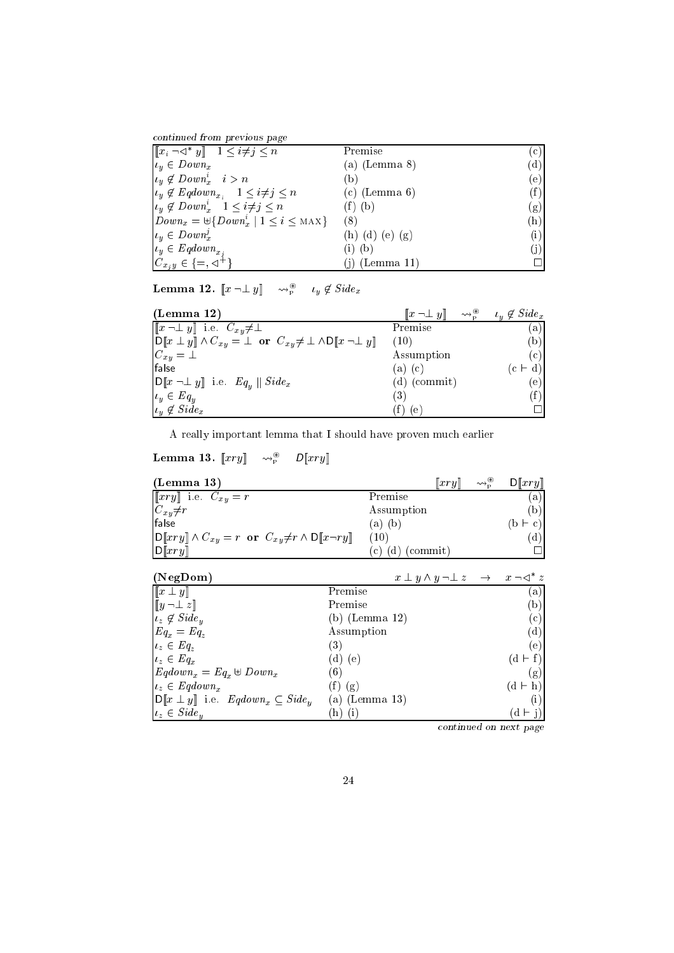ontinued from previous page

| $\left \left[x_i \neg \triangleleft^* y\right]\right  \quad 1 \leq i \neq j \leq n\right $ | Premise           | (c) |
|--------------------------------------------------------------------------------------------|-------------------|-----|
| $u_y \in Down_x$                                                                           | $(a)$ (Lemma 8)   | (d) |
| $u_y \notin Down^{i}_{x} \quad i > n$                                                      | 'b)               | (e) |
| $u_y \notin Eqdown_{x_i}$ $1 \leq i \neq j \leq n$                                         | $(c)$ (Lemma 6)   | (f) |
| $u_y \notin Down_x^i \quad 1 \leq i \neq j \leq n$                                         | $(f)$ $(b)$       | (g) |
| $ Down_x = \biguplus \{Down_x^i \mid 1 \leq i \leq \text{MAX}\}\$                          | (8)               | (h) |
| $u_y \in Down_x^j$                                                                         | $(h)$ (d) (e) (g) | (i) |
| $u_y \in Eqdown_{x}$                                                                       | $(i)$ $(b)$       |     |
| $C_{x,y} \in \{ =, \triangleleft^+ \}$                                                     | $(j)$ (Lemma 11)  |     |

**Lemma 12.**  $\llbracket x \rceil \perp y \rrbracket$   $\leadsto_{\widetilde{p}}^{\widetilde{p}}$   $\iota_y \not\in \mathit{Sue}_x$ 

| (Lemma 12)                                                                             | $\llbracket x \neg \bot y \rrbracket$ | $\rightsquigarrow_{\texttt{D}}^{\circledR}$ | $\iota_y \notin \textit{Side}_x$ |
|----------------------------------------------------------------------------------------|---------------------------------------|---------------------------------------------|----------------------------------|
| $\llbracket x \neg \bot y \rrbracket$ i.e. $C_{xy} \neq \bot$                          | Premise                               |                                             | (a)                              |
| $\ D\ x\perp y\ \wedge C_{xy}=\perp \text{ or } C_{xy}\neq \perp \wedge D\ x\perp y\ $ | (10)                                  |                                             | (b)                              |
| $C_{xy} = \perp$                                                                       | Assumption                            |                                             | (c)                              |
| false                                                                                  | (a) (c)                               |                                             | $(c \vdash d)$                   |
| $\ \mathsf{D}\ x\ \perp y\ $ i.e. $Eq_u \ \textit{Side}_x\ $                           | $(d)$ (commit)                        |                                             | e)                               |
| $u_y \in Eq_y$                                                                         | (3)                                   |                                             |                                  |
| $\iota_y \notin \mathit{Side}_x$                                                       | l e.                                  |                                             |                                  |

A really important lemma that I should have proven mu
h earlier

# Lemma 13.  $\llbracket xry \rrbracket \quad \leadsto_{\mathbb{P}} \quad \cup \llbracket xry \rrbracket$

| (Lemma 13)                                                                          | $\ xry\ $       | $\rightsquigarrow^{\circledR}_{\mathbf{n}}$ | D[ <i>try</i> ]] |
|-------------------------------------------------------------------------------------|-----------------|---------------------------------------------|------------------|
| $[[xry]$ i.e. $C_{xy} = r$                                                          | Premise         |                                             | a)               |
| $C_{xy} \neq r$                                                                     | Assumption      |                                             | (b)              |
| false                                                                               | (a) (b)         |                                             | $(b \vdash c)$   |
| $\text{D}[[xry]] \wedge C_{xy} = r$ or $C_{xy} \neq r \wedge \text{D}[[x \neg ry]]$ | (10)            |                                             | (d)              |
| D[ <i>Try</i> ]                                                                     | (commit)<br>(d) |                                             |                  |

| (NegDom)                                                                     | $x \perp y \wedge y \neg \perp z \rightarrow x \neg \lhd^* z$ |                |
|------------------------------------------------------------------------------|---------------------------------------------------------------|----------------|
| $\llbracket x \perp y \rrbracket$                                            | Premise                                                       | a)             |
| $[y \neg \bot z]$                                                            | Premise                                                       | (b)            |
| $\iota_z \notin \mathit{Side}_u$                                             | $(b)$ (Lemma 12)                                              | (c)            |
| $Eq_x = Eq_z$                                                                | Assumption                                                    | (d)            |
| $\iota_z \in Eq_z$                                                           | $\left( 3\right)$                                             | (e)            |
| $\iota_z \in Eq_x$                                                           | (d) (e)                                                       | $(d \vdash f)$ |
| $Eqdown_x = Eq_x \oplus Down_x$                                              | (6)                                                           | g              |
| $\iota_z \in \text{Eqdown}_x$                                                | (g)                                                           | $(d + h)$      |
| $\mathsf{D}\llbracket x \perp y \rrbracket$ i.e. $Eqdown_x \subseteq Side_u$ | (a) (Lemma 13)                                                |                |
| $\iota_z \in \mathit{Side}_u$                                                | (i<br>h.                                                      | đ              |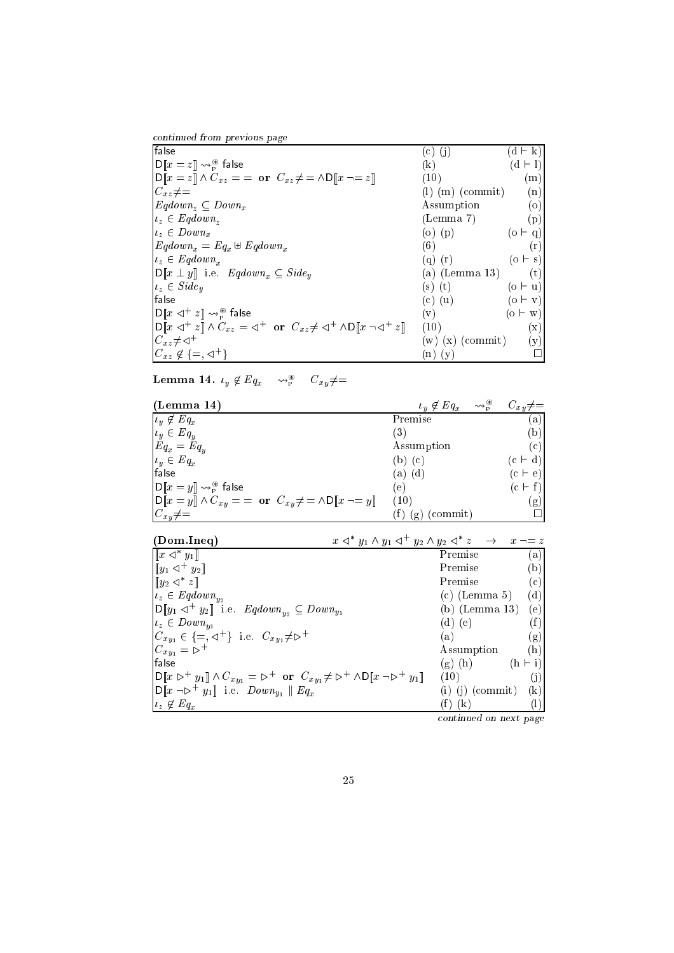| continued from previous page |  |  |
|------------------------------|--|--|

| False                                                                                                                                                                                      | (c) (j)              | $(d + k)$      |
|--------------------------------------------------------------------------------------------------------------------------------------------------------------------------------------------|----------------------|----------------|
| $D[x = z] \rightsquigarrow_{\text{P}}^{\circledast}$ false                                                                                                                                 | (k)                  | $(d + l)$      |
| $D[x = z] \wedge C_{xz} = \text{or } C_{xz} \neq \emptyset$                                                                                                                                | (10)                 | (m)            |
| $C_{xz} \neq =$                                                                                                                                                                            | $(m)$ (commit)       | (n)            |
| $Eqdown_z \subseteq Down_x$                                                                                                                                                                | Assumption           | (o)            |
| $u_z \in Eqdown_z$                                                                                                                                                                         | (Lemma 7)            | (p)            |
| $u_z \in Down_x$                                                                                                                                                                           | (o) $(p)$            | $(o + q)$      |
| $Eqdown_x = Eq_x \oplus Eqdown_x$                                                                                                                                                          | (6)                  | (r)            |
| $i_z \in Eqdown_x$                                                                                                                                                                         | $(q)$ $(r)$          | $(o \vdash s)$ |
| $\mathsf{D}\llbracket x \perp y \rrbracket$ i.e. $\mathit{Eqdown}_x \subseteq \mathit{Side}_y$                                                                                             | (a) (Lemma 13)       | (t)            |
| $\iota_z \in \mathit{Side}_u$                                                                                                                                                              | $(s)$ $(t)$          | $(o \vdash u)$ |
| lfalse                                                                                                                                                                                     | $(c)$ $(u)$          | $(o \vdash v)$ |
| $\lVert D \rVert x \lVert x^+ z \rVert \rightsquigarrow_p^{\circledast}$ false                                                                                                             | $(\mathrm{v})$       | $(o \vdash w)$ |
| $\mathsf{D} \llbracket x \triangleleft^+ z \rrbracket \wedge C_{xz} = \Leftrightarrow^+ \text{ or } C_{xz} \neq \Leftrightarrow^+ \wedge \mathsf{D} \llbracket x \neg \lhd^+ z \rrbracket$ | (10)                 | (x)            |
| $C_{xz} \neq \lhd^+$                                                                                                                                                                       | $(w)$ $(x)$ (commit) | (y)            |
| $C_{xz} \notin \{=,\lhd^+\}$                                                                                                                                                               | $(n)$ $(y)$          |                |

Lemma 14.  $\iota_y \notin \mathit{Lq}_x$   $\leadsto_{\mathsf{P}}^{\sim}$   $\cup_{xy} \neq =$ 

| (Lemma 14)                                                                                                                                        | $\rightsquigarrow^{\circledR}_{\mathbf{p}}$<br>$\iota_y \notin Eq_x$ | $C_{xy}\neq=$ |
|---------------------------------------------------------------------------------------------------------------------------------------------------|----------------------------------------------------------------------|---------------|
| $\iota_y \not\in Eq_x$                                                                                                                            | Premise                                                              | $\lbrack a)$  |
| $u_y \in Eq_y$                                                                                                                                    | (3)                                                                  | (b)           |
| $Eq_x = Eq_y$                                                                                                                                     | Assumption                                                           | (c)           |
| $u_y \in Eq_x$                                                                                                                                    | (b) (c)                                                              | $(c + d)$     |
| false                                                                                                                                             | (a) (d)                                                              | $(c + e)$     |
| $\ \mathsf{D}\ _x=y\  \leadsto_{\mathsf{P}}^{\circledast}$ false                                                                                  | (e)                                                                  | $(c + f)$     |
| $\mathbf{D}\llbracket x = y \rrbracket \wedge C_{xy} = \mathbf{or} \ \ C_{xy} \neq \mathbf{or} \ \mathbf{D}\llbracket x \neg \equiv y \rrbracket$ | (10)                                                                 | $\rm(g)$      |
| $C_{xy}\neq=$                                                                                                                                     | (commit)<br>(g)                                                      |               |

| (Dom. Ineq)                                                                                                                                     | $x \triangleleft^* y_1 \wedge y_1 \triangleleft^+ y_2 \wedge y_2 \triangleleft^* z \quad \rightarrow \quad x \neg = z$ |
|-------------------------------------------------------------------------------------------------------------------------------------------------|------------------------------------------------------------------------------------------------------------------------|
| $\lceil\lceil x \rceil \rceil$ $y_1 \rceil$                                                                                                     | Premise<br>(a)                                                                                                         |
| $[y_1 \lhd^+ y_2]$                                                                                                                              | Premise<br>(b)                                                                                                         |
| $\llbracket y_2 \prec^* z \rrbracket$                                                                                                           | (c)<br>Premise                                                                                                         |
| $u_z \in Eqdown_{y_2}$                                                                                                                          | (d)<br>$(c)$ (Lemma 5)                                                                                                 |
| $\mathsf{D}[y_1 \triangleleft^+ y_2]]$ i.e. $\mathit{Eqdown}_{y_2} \subseteq \mathit{Down}_{y_1}$                                               | $(b)$ (Lemma 13)<br>(e)                                                                                                |
| $u_z \in Down_{u_1}$                                                                                                                            | (f)<br>$(d)$ (e)                                                                                                       |
| $C_{xy_1} \in \{ =, \triangleleft^+ \}$ i.e. $C_{xy_1} \neq \triangleright^+$                                                                   | (a)<br>(g)                                                                                                             |
| $C_{xy_1} = \rhd^+$                                                                                                                             | (h)<br>Assumption                                                                                                      |
| lfalse                                                                                                                                          | $(h + i)$<br>$(g)$ (h)                                                                                                 |
| $D[x \triangleright^+ y_1] \wedge C_{xy_1} = \triangleright^+ \text{ or } C_{xy_1} \neq \triangleright^+ \wedge D[x \neg \triangleright^+ y_1]$ | (10)<br>Œ.                                                                                                             |
| $\text{D}\llbracket x \neg \rhd^+ y_1 \rrbracket$ i.e. $Down_{u_1} \parallel Eq_x$                                                              | $\left( \mathrm{k}\right)$<br>(commit)<br>(i)<br>(1)                                                                   |
| $\iota_z \notin Eq_x$                                                                                                                           | (k)                                                                                                                    |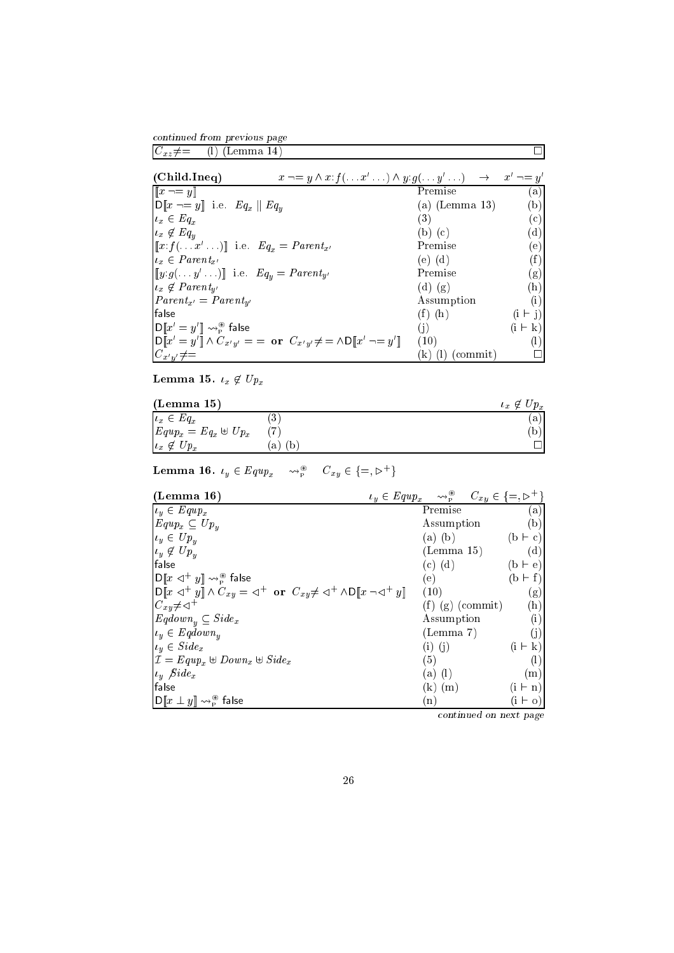ontinued from previous page  $C_{xz} \neq$  (l) (Lemma 14)

| (Child. Ineq)                                                                                         | $x \neg = y \land x : f(\dots x' \dots) \land y : g(\dots y' \dots) \rightarrow x' \neg = y'$                                                    |                    |                |
|-------------------------------------------------------------------------------------------------------|--------------------------------------------------------------------------------------------------------------------------------------------------|--------------------|----------------|
| $\llbracket x \neg = y \rrbracket$                                                                    |                                                                                                                                                  | Premise            | (a)            |
| $D[x \neg = y]$ i.e. $Eq_x \parallel Eq_y$                                                            |                                                                                                                                                  | (a) (Lemma 13)     | (b)            |
| $u_x \in Eq_x$                                                                                        |                                                                                                                                                  | (3)                | (c)            |
| $\iota_x \notin Eq_u$                                                                                 |                                                                                                                                                  | $(b)$ $(c)$        | (d)            |
| $\llbracket x \cdot f(\ldots x' \ldots) \rrbracket$ i.e. $Eq_x = Parent_{x'}$                         |                                                                                                                                                  | Premise            | (e)            |
| $u_x \in Parent_{x'}$                                                                                 |                                                                                                                                                  | $(e)$ $(d)$        | (f)            |
| $\llbracket y.g( \ldots y' \ldots ) \rrbracket$ i.e. $Eq_u = Parent_{y'}$                             |                                                                                                                                                  | Premise            | (g)            |
| $u_x \notin Parent_{u'}$                                                                              |                                                                                                                                                  | $(d)$ $(g)$        | (h)            |
| $Parent_{x'} = Parent_{u'}$                                                                           |                                                                                                                                                  | Assumption         | (i)            |
| lfalse                                                                                                |                                                                                                                                                  | $(f)$ $(h)$        | $(i + j)$      |
| $\ \mathsf{D}\ x'=y'\  \leadsto_{\scriptscriptstyle\mathrm{P}}^{\scriptscriptstyle\circledast}$ false |                                                                                                                                                  | (i)                | $(i \vdash k)$ |
|                                                                                                       | $\text{D}\llbracket x'=y'\rrbracket \wedge C_{x'y'} = \;= \; \textbf{or} \;\; C_{x'y'} \neq \;= \wedge \text{D}\llbracket x' \mid y' \rrbracket$ | (10)               |                |
| $C_{x'y'}\neq=$                                                                                       |                                                                                                                                                  | $(k)$ (1) (commit) |                |

Lemma 15. x <sup>62</sup> Upx

| (Lemma 15)                  |                    | $p_x$<br>$\iota_x$<br>∀ |
|-----------------------------|--------------------|-------------------------|
| $\iota_x \in Eq_x$          |                    | a                       |
| $Equp_x = Eq_x \oplus Up_x$ |                    | $\mathfrak b$           |
| $Up_x$<br>$\iota_x \notin$  | $\mathfrak b$<br>a |                         |

Lemma 10.  $u_y \in \mathit{Lqup}_x$   $\leadsto_{\widetilde{p}}$   $C_{xy} \in \{\equiv, \triangleright\}$ 

| (Lemma 16)                                                                                                                                                                                      | $u_y \in \mathit{Equp}_x$ $\leadsto^{\circledast}_{\mathsf{P}}$ $C_{xy} \in \{\equiv, \mathsf{P}^+\}$ |                            |                  |
|-------------------------------------------------------------------------------------------------------------------------------------------------------------------------------------------------|-------------------------------------------------------------------------------------------------------|----------------------------|------------------|
| $u_y \in \text{Equp}_x$                                                                                                                                                                         |                                                                                                       | Premise                    | (a)              |
| $Equp_x \subseteq Up_y$                                                                                                                                                                         |                                                                                                       | Assumption                 | (b)              |
| $u_y \in Up_y$                                                                                                                                                                                  |                                                                                                       | $(a)$ $(b)$                | $(b \vdash c)$   |
| $u_y \notin Up_y$                                                                                                                                                                               |                                                                                                       | (Lemma 15)                 | (d)              |
| false                                                                                                                                                                                           |                                                                                                       | $(c)$ $(d)$                | $(b \vdash e)$   |
| $\ D\ x\lhd^+ y\  \leadsto_{\scriptscriptstyle{\mathsf{P}}}^{\scriptscriptstyle{\mathsf{F}}}$ false                                                                                             |                                                                                                       | (e)                        | $(b + f)$        |
| $\mathbf{D} \llbracket x \triangleleft^+ y \rrbracket \wedge C_{xy} = \triangleleft^+ \text{ or } C_{xy} \neq \triangleleft^+ \wedge \mathbf{D} \llbracket x \neg \triangleleft^+ y \rrbracket$ |                                                                                                       | (10)                       | (g)              |
| $C_{xy}\neq\lhd^+$                                                                                                                                                                              |                                                                                                       | $(f)$ $(g)$ (commit)       | (h)              |
| $Eqdown_{u} \subseteq Side_{x}$                                                                                                                                                                 |                                                                                                       | Assumption                 | (i)              |
| $u_y \in Eqdown_y$                                                                                                                                                                              |                                                                                                       | (Lemma 7)                  | (i)              |
| $u_y \in \textit{Side}_x$                                                                                                                                                                       |                                                                                                       | $(i)$ $(j)$                | $(i \vdash k)$   |
| $\mathcal{I} = \text{Equp}_x \oplus \text{Down}_x \oplus \text{Side}_x$                                                                                                                         |                                                                                                       | (5)                        | $\left(1\right)$ |
| $\iota_y$ Sidex                                                                                                                                                                                 |                                                                                                       | $(a)$ (1)                  | (m)              |
| false                                                                                                                                                                                           |                                                                                                       | $(k)$ $(m)$                | $(i \vdash n)$   |
| $\ \mathsf{D}\llbracket x\perp y\rrbracket \leadsto_{\scriptscriptstyle \mathsf{P}}^{\scriptscriptstyle\mathsf{P}}$ false                                                                       |                                                                                                       | $\left( \mathrm{n}\right)$ | $(i \vdash o)$   |